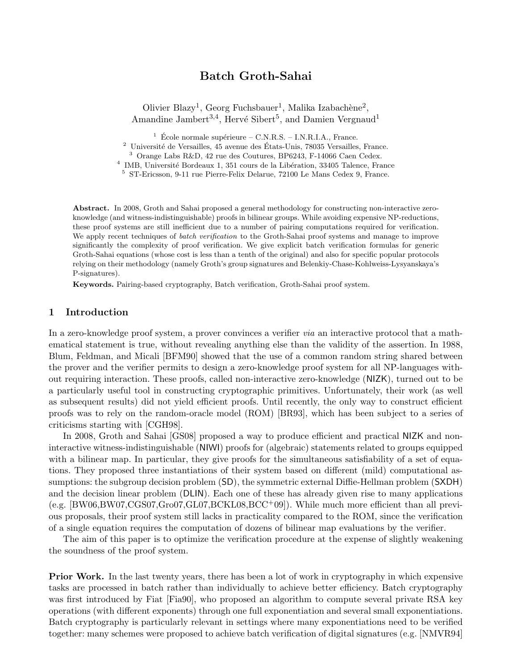# Batch Groth-Sahai

Olivier Blazy<sup>1</sup>, Georg Fuchsbauer<sup>1</sup>, Malika Izabachène<sup>2</sup>, Amandine Jambert<sup>3,4</sup>, Hervé Sibert<sup>5</sup>, and Damien Vergnaud<sup>1</sup>

 $1 \text{ École normale supérieure} - \text{C.N.R.S.} - \text{I.N.R.I.A., France.}$ 

Université de Versailles, 45 avenue des États-Unis, 78035 Versailles, France.

<sup>3</sup> Orange Labs R&D, 42 rue des Coutures, BP6243, F-14066 Caen Cedex.

<sup>4</sup> IMB, Université Bordeaux 1, 351 cours de la Libération, 33405 Talence, France

<sup>5</sup> ST-Ericsson, 9-11 rue Pierre-Felix Delarue, 72100 Le Mans Cedex 9, France.

Abstract. In 2008, Groth and Sahai proposed a general methodology for constructing non-interactive zeroknowledge (and witness-indistinguishable) proofs in bilinear groups. While avoiding expensive NP-reductions, these proof systems are still inefficient due to a number of pairing computations required for verification. We apply recent techniques of *batch verification* to the Groth-Sahai proof systems and manage to improve significantly the complexity of proof verification. We give explicit batch verification formulas for generic Groth-Sahai equations (whose cost is less than a tenth of the original) and also for specific popular protocols relying on their methodology (namely Groth's group signatures and Belenkiy-Chase-Kohlweiss-Lysyanskaya's P-signatures).

Keywords. Pairing-based cryptography, Batch verification, Groth-Sahai proof system.

# 1 Introduction

In a zero-knowledge proof system, a prover convinces a verifier via an interactive protocol that a mathematical statement is true, without revealing anything else than the validity of the assertion. In 1988, Blum, Feldman, and Micali [BFM90] showed that the use of a common random string shared between the prover and the verifier permits to design a zero-knowledge proof system for all NP-languages without requiring interaction. These proofs, called non-interactive zero-knowledge (NIZK), turned out to be a particularly useful tool in constructing cryptographic primitives. Unfortunately, their work (as well as subsequent results) did not yield efficient proofs. Until recently, the only way to construct efficient proofs was to rely on the random-oracle model (ROM) [BR93], which has been subject to a series of criticisms starting with [CGH98].

In 2008, Groth and Sahai [GS08] proposed a way to produce efficient and practical NIZK and noninteractive witness-indistinguishable (NIWI) proofs for (algebraic) statements related to groups equipped with a bilinear map. In particular, they give proofs for the simultaneous satisfiability of a set of equations. They proposed three instantiations of their system based on different (mild) computational assumptions: the subgroup decision problem (SD), the symmetric external Diffie-Hellman problem (SXDH) and the decision linear problem (DLIN). Each one of these has already given rise to many applications (e.g. [BW06,BW07,CGS07,Gro07,GL07,BCKL08,BCC<sup>+</sup>09]). While much more efficient than all previous proposals, their proof system still lacks in practicality compared to the ROM, since the verification of a single equation requires the computation of dozens of bilinear map evaluations by the verifier.

The aim of this paper is to optimize the verification procedure at the expense of slightly weakening the soundness of the proof system.

**Prior Work.** In the last twenty years, there has been a lot of work in cryptography in which expensive tasks are processed in batch rather than individually to achieve better efficiency. Batch cryptography was first introduced by Fiat [Fia90], who proposed an algorithm to compute several private RSA key operations (with different exponents) through one full exponentiation and several small exponentiations. Batch cryptography is particularly relevant in settings where many exponentiations need to be verified together: many schemes were proposed to achieve batch verification of digital signatures (e.g. [NMVR94]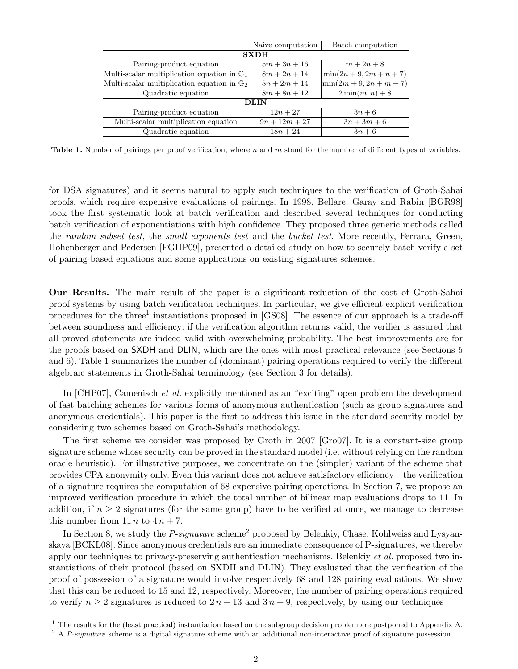|                                                        | Naive computation | Batch computation          |
|--------------------------------------------------------|-------------------|----------------------------|
| <b>SXDH</b>                                            |                   |                            |
| Pairing-product equation                               | $5m + 3n + 16$    | $m + 2n + 8$               |
| Multi-scalar multiplication equation in $\mathbb{G}_1$ | $8m + 2n + 14$    | $\min(2n+9, 2m+n+7)$       |
| Multi-scalar multiplication equation in $\mathbb{G}_2$ | $8n + 2m + 14$    | $\min(2m + 9, 2n + m + 7)$ |
| Quadratic equation                                     | $8m + 8n + 12$    | $2\min(m,n)+8$             |
| <b>DLIN</b>                                            |                   |                            |
| Pairing-product equation                               | $12n + 27$        | $3n+6$                     |
| Multi-scalar multiplication equation                   | $9n + 12m + 27$   | $3n + 3m + 6$              |
| Quadratic equation                                     | $18n + 24$        | $3n+6$                     |

Table 1. Number of pairings per proof verification, where  $n$  and  $m$  stand for the number of different types of variables.

for DSA signatures) and it seems natural to apply such techniques to the verification of Groth-Sahai proofs, which require expensive evaluations of pairings. In 1998, Bellare, Garay and Rabin [BGR98] took the first systematic look at batch verification and described several techniques for conducting batch verification of exponentiations with high confidence. They proposed three generic methods called the random subset test, the small exponents test and the bucket test. More recently, Ferrara, Green, Hohenberger and Pedersen [FGHP09], presented a detailed study on how to securely batch verify a set of pairing-based equations and some applications on existing signatures schemes.

Our Results. The main result of the paper is a significant reduction of the cost of Groth-Sahai proof systems by using batch verification techniques. In particular, we give efficient explicit verification procedures for the three<sup>1</sup> instantiations proposed in [GS08]. The essence of our approach is a trade-off between soundness and efficiency: if the verification algorithm returns valid, the verifier is assured that all proved statements are indeed valid with overwhelming probability. The best improvements are for the proofs based on SXDH and DLIN, which are the ones with most practical relevance (see Sections 5 and 6). Table 1 summarizes the number of (dominant) pairing operations required to verify the different algebraic statements in Groth-Sahai terminology (see Section 3 for details).

In [CHP07], Camenisch *et al.* explicitly mentioned as an "exciting" open problem the development of fast batching schemes for various forms of anonymous authentication (such as group signatures and anonymous credentials). This paper is the first to address this issue in the standard security model by considering two schemes based on Groth-Sahai's methodology.

The first scheme we consider was proposed by Groth in 2007 [Gro07]. It is a constant-size group signature scheme whose security can be proved in the standard model (i.e. without relying on the random oracle heuristic). For illustrative purposes, we concentrate on the (simpler) variant of the scheme that provides CPA anonymity only. Even this variant does not achieve satisfactory efficiency—the verification of a signature requires the computation of 68 expensive pairing operations. In Section 7, we propose an improved verification procedure in which the total number of bilinear map evaluations drops to 11. In addition, if  $n \geq 2$  signatures (for the same group) have to be verified at once, we manage to decrease this number from  $11 n$  to  $4 n + 7$ .

In Section 8, we study the P-signature scheme<sup>2</sup> proposed by Belenkiy, Chase, Kohlweiss and Lysyanskaya [BCKL08]. Since anonymous credentials are an immediate consequence of P-signatures, we thereby apply our techniques to privacy-preserving authentication mechanisms. Belenkiy et al. proposed two instantiations of their protocol (based on SXDH and DLIN). They evaluated that the verification of the proof of possession of a signature would involve respectively 68 and 128 pairing evaluations. We show that this can be reduced to 15 and 12, respectively. Moreover, the number of pairing operations required to verify  $n \geq 2$  signatures is reduced to  $2n + 13$  and  $3n + 9$ , respectively, by using our techniques

 $\frac{1}{1}$  The results for the (least practical) instantiation based on the subgroup decision problem are postponed to Appendix A.

 $2 A P$ -signature scheme is a digital signature scheme with an additional non-interactive proof of signature possession.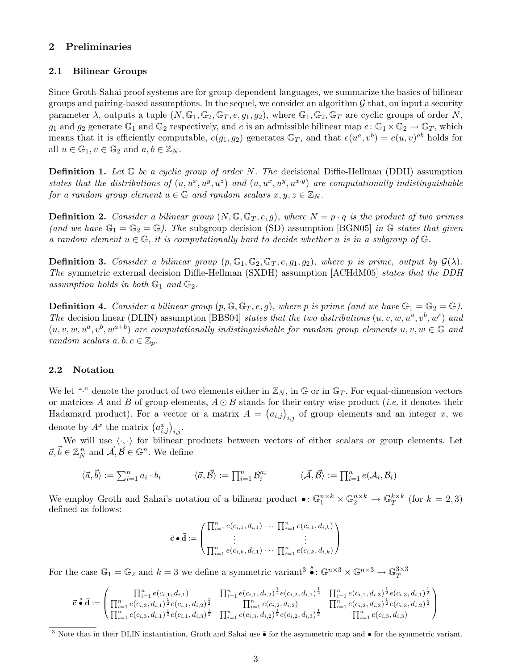# 2 Preliminaries

### 2.1 Bilinear Groups

Since Groth-Sahai proof systems are for group-dependent languages, we summarize the basics of bilinear groups and pairing-based assumptions. In the sequel, we consider an algorithm  $G$  that, on input a security parameter  $\lambda$ , outputs a tuple  $(N, \mathbb{G}_1, \mathbb{G}_2, \mathbb{G}_T, e, g_1, g_2)$ , where  $\mathbb{G}_1, \mathbb{G}_2, \mathbb{G}_T$  are cyclic groups of order N,  $g_1$  and  $g_2$  generate  $\mathbb{G}_1$  and  $\mathbb{G}_2$  respectively, and e is an admissible bilinear map  $e: \mathbb{G}_1 \times \mathbb{G}_2 \to \mathbb{G}_T$ , which means that it is efficiently computable,  $e(g_1, g_2)$  generates  $\mathbb{G}_T$ , and that  $e(u^a, v^b) = e(u, v)^{ab}$  holds for all  $u \in \mathbb{G}_1, v \in \mathbb{G}_2$  and  $a, b \in \mathbb{Z}_N$ .

**Definition 1.** Let  $\mathbb{G}$  be a cyclic group of order N. The decisional Diffie-Hellman (DDH) assumption states that the distributions of  $(u, u^x, u^y, u^z)$  and  $(u, u^x, u^y, u^{x,y})$  are computationally indistinguishable for a random group element  $u \in \mathbb{G}$  and random scalars  $x, y, z \in \mathbb{Z}_N$ .

**Definition 2.** Consider a bilinear group  $(N, \mathbb{G}, \mathbb{G}_T, e, g)$ , where  $N = p \cdot q$  is the product of two primes (and we have  $\mathbb{G}_1 = \mathbb{G}_2 = \mathbb{G}$ ). The subgroup decision (SD) assumption [BGN05] in G states that given a random element  $u \in \mathbb{G}$ , it is computationally hard to decide whether u is in a subgroup of  $\mathbb{G}$ .

**Definition 3.** Consider a bilinear group  $(p, \mathbb{G}_1, \mathbb{G}_2, \mathbb{G}_T, e, g_1, g_2)$ , where p is prime, output by  $\mathcal{G}(\lambda)$ . The symmetric external decision Diffie-Hellman (SXDH) assumption [ACHdM05] states that the DDH assumption holds in both  $\mathbb{G}_1$  and  $\mathbb{G}_2$ .

**Definition 4.** Consider a bilinear group  $(p, \mathbb{G}, \mathbb{G}_T, e, g)$ , where p is prime (and we have  $\mathbb{G}_1 = \mathbb{G}_2 = \mathbb{G}$ ). The decision linear (DLIN) assumption [BBS04] states that the two distributions  $(u, v, w, u^a, v^b, w^c)$  and  $(u, v, w, u^a, v^b, w^{a+b})$  are computationally indistinguishable for random group elements  $u, v, w \in \mathbb{G}$  and random scalars  $a, b, c \in \mathbb{Z}_p$ .

# 2.2 Notation

We let "." denote the product of two elements either in  $\mathbb{Z}_N$ , in G or in  $\mathbb{G}_T$ . For equal-dimension vectors or matrices A and B of group elements,  $A \odot B$  stands for their entry-wise product (*i.e.* it denotes their Hadamard product). For a vector or a matrix  $A = (a_{i,j})_{i,j}$  of group elements and an integer x, we denote by  $A^x$  the matrix  $(a_{i,j}^x)_{i,j}$ .

We will use  $\langle \cdot, \cdot \rangle$  for bilinear products between vectors of either scalars or group elements. Let  $\vec{a}, \vec{b} \in \mathbb{Z}_N^n$  and  $\vec{\mathcal{A}}, \vec{\mathcal{B}} \in \mathbb{G}^n$ . We define

$$
\langle \vec{a}, \vec{b} \rangle := \sum_{i=1}^n a_i \cdot b_i \qquad \qquad \langle \vec{a}, \vec{B} \rangle := \prod_{i=1}^n \mathcal{B}_i^{a_i} \qquad \qquad \langle \vec{\mathcal{A}}, \vec{B} \rangle := \prod_{i=1}^n e(\mathcal{A}_i, \mathcal{B}_i)
$$

We employ Groth and Sahai's notation of a bilinear product  $\bullet: \mathbb{G}_1^{n \times k} \times \mathbb{G}_2^{n \times k} \to \mathbb{G}_T^{k \times k}$  $_{T}^{k\times k}$  (for  $k=2,3$ ) defined as follows:

$$
\vec{c} \cdot \vec{d} := \begin{pmatrix} \prod_{i=1}^{n} e(c_{i,1}, d_{i,1}) & \cdots & \prod_{i=1}^{n} e(c_{i,1}, d_{i,k}) \\ \vdots & \vdots & \vdots \\ \prod_{i=1}^{n} e(c_{i,k}, d_{i,1}) & \cdots & \prod_{i=1}^{n} e(c_{i,k}, d_{i,k}) \end{pmatrix}
$$

For the case  $\mathbb{G}_1 = \mathbb{G}_2$  and  $k = 3$  we define a symmetric variant  $s^3 \bullet : \mathbb{G}^{n \times 3} \times \mathbb{G}^{n \times 3} \to \mathbb{G}_T^{3 \times 3}$ T

$$
\vec{c} \cdot \vec{d} := \begin{pmatrix} \prod_{i=1}^{n} e(c_{i,1}, d_{i,1}) & \prod_{i=1}^{n} e(c_{i,1}, d_{i,2})^{\frac{1}{2}} e(c_{i,2}, d_{i,1})^{\frac{1}{2}} & \prod_{i=1}^{n} e(c_{i,1}, d_{i,3})^{\frac{1}{2}} e(c_{i,3}, d_{i,1})^{\frac{1}{2}} \\ \prod_{i=1}^{n} e(c_{i,2}, d_{i,1})^{\frac{1}{2}} e(c_{i,1}, d_{i,2})^{\frac{1}{2}} & \prod_{i=1}^{n} e(c_{i,2}, d_{i,2}) & \prod_{i=1}^{n} e(c_{i,2}, d_{i,3})^{\frac{1}{2}} e(c_{i,3}, d_{i,2})^{\frac{1}{2}} \\ \prod_{i=1}^{n} e(c_{i,3}, d_{i,1})^{\frac{1}{2}} e(c_{i,1}, d_{i,3})^{\frac{1}{2}} & \prod_{i=1}^{n} e(c_{i,3}, d_{i,2})^{\frac{1}{2}} e(c_{i,2}, d_{i,3})^{\frac{1}{2}} & \prod_{i=1}^{n} e(c_{i,3}, d_{i,3}) \end{pmatrix}
$$

<sup>&</sup>lt;sup>3</sup> Note that in their DLIN instantiation, Groth and Sahai use • for the asymmetric map and • for the symmetric variant.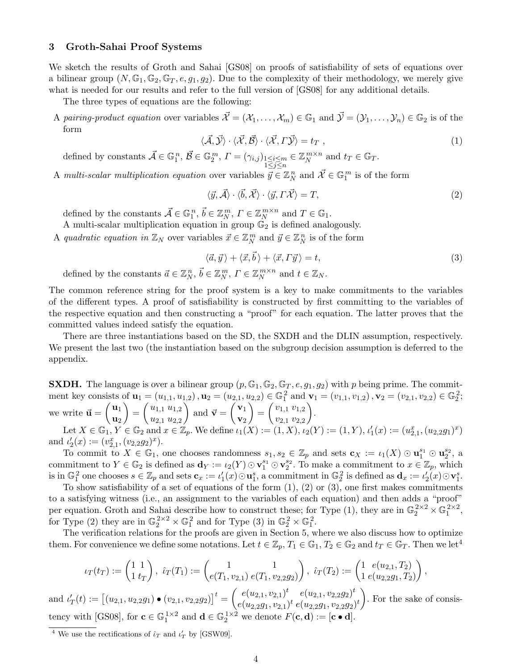# 3 Groth-Sahai Proof Systems

We sketch the results of Groth and Sahai [GS08] on proofs of satisfiability of sets of equations over a bilinear group  $(N, \mathbb{G}_1, \mathbb{G}_2, \mathbb{G}_T, e, g_1, g_2)$ . Due to the complexity of their methodology, we merely give what is needed for our results and refer to the full version of  $[GS08]$  for any additional details.

The three types of equations are the following:

A pairing-product equation over variables  $\vec{\mathcal{X}} = (\mathcal{X}_1, \ldots, \mathcal{X}_m) \in \mathbb{G}_1$  and  $\vec{\mathcal{Y}} = (\mathcal{Y}_1, \ldots, \mathcal{Y}_n) \in \mathbb{G}_2$  is of the form

$$
\langle \vec{\mathcal{A}}, \vec{\mathcal{Y}} \rangle \cdot \langle \vec{\mathcal{X}}, \vec{\mathcal{B}} \rangle \cdot \langle \vec{\mathcal{X}}, \vec{\mathcal{Y}} \rangle = t_T , \qquad (1)
$$

defined by constants  $\vec{\mathcal{A}} \in \mathbb{G}_1^n$ ,  $\vec{\mathcal{B}} \in \mathbb{G}_2^m$ ,  $\mathcal{\Gamma} = (\gamma_{i,j})_{\substack{1 \leq i \leq m \\ 1 \leq j \leq n}}$  $\in \mathbb{Z}_N^{m \times n}$  $_N^{m \times n}$  and  $t_T \in \mathbb{G}_T$ .

A multi-scalar multiplication equation over variables  $\vec{y} \in \mathbb{Z}_N^n$  and  $\vec{X} \in \mathbb{G}_1^m$  is of the form

$$
\langle \vec{y}, \vec{A} \rangle \cdot \langle \vec{b}, \vec{X} \rangle \cdot \langle \vec{y}, \Gamma \vec{X} \rangle = T,\tag{2}
$$

defined by the constants  $\vec{\mathcal{A}} \in \mathbb{G}_1^n$ ,  $\vec{b} \in \mathbb{Z}_N^m$ ,  $\Gamma \in \mathbb{Z}_N^{m \times n}$  $_N^{m \times n}$  and  $T \in \mathbb{G}_1$ .

A multi-scalar multiplication equation in group  $\mathbb{G}_2$  is defined analogously.

A quadratic equation in  $\mathbb{Z}_N$  over variables  $\vec{x} \in \mathbb{Z}_N^m$  and  $\vec{y} \in \mathbb{Z}_N^n$  is of the form

$$
\langle \vec{a}, \vec{y} \rangle + \langle \vec{x}, \vec{b} \rangle + \langle \vec{x}, \vec{y} \rangle = t,\tag{3}
$$

defined by the constants  $\vec{a} \in \mathbb{Z}_N^n$ ,  $\vec{b} \in \mathbb{Z}_N^m$ ,  $\Gamma \in \mathbb{Z}_N^{m \times n}$  $_N^{m \times n}$  and  $t \in \mathbb{Z}_N$ .

The common reference string for the proof system is a key to make commitments to the variables of the different types. A proof of satisfiability is constructed by first committing to the variables of the respective equation and then constructing a "proof" for each equation. The latter proves that the committed values indeed satisfy the equation.

There are three instantiations based on the SD, the SXDH and the DLIN assumption, respectively. We present the last two (the instantiation based on the subgroup decision assumption is deferred to the appendix.

**SXDH.** The language is over a bilinear group  $(p, \mathbb{G}_1, \mathbb{G}_2, \mathbb{G}_T, e, g_1, g_2)$  with p being prime. The commitment key consists of  $\mathbf{u}_1 = (u_{1,1}, u_{1,2}), \mathbf{u}_2 = (u_{2,1}, u_{2,2}) \in \mathbb{G}_1^2$  and  $\mathbf{v}_1 = (v_{1,1}, v_{1,2}), \mathbf{v}_2 = (v_{2,1}, v_{2,2}) \in \mathbb{G}_2^2$ ; we write  $\vec{u} = \begin{pmatrix} u_1 \\ u_2 \end{pmatrix}$  $\mathbf{u}_2$  $=$  $\left( \begin{array}{c} u_{1,1} & u_{1,2} \\ u_{2,1} & u_{2,2} \end{array} \right)$  $u_{2,1}$   $u_{2,2}$ ) and  $\vec{\mathbf{v}} = \begin{pmatrix} \mathbf{v}_1 \\ \mathbf{v}_2 \end{pmatrix}$  $\mathbf{v}_2$  $=$  $\left( \begin{array}{c} v_{1,1} & v_{1,2} \\ \vdots & \vdots \\ v_{n,1} & \vdots \end{array} \right)$  $v_{2,1} v_{2,2}$  . Let  $X \in \mathbb{G}_1, Y \in \mathbb{G}_2$  and  $x \in \mathbb{Z}_p$ . We define  $\iota_1(X) := (1, X), \iota_2(Y) := (1, Y), \iota'_1(x) := (u_{2,1}^x, (u_{2,2}g_1)^x)$ 

and  $\iota'_2(x) := (v_{2,1}^x, (v_{2,2}g_2)^x)$ .

To commit to  $X \in \mathbb{G}_1$ , one chooses randomness  $s_1, s_2 \in \mathbb{Z}_p$  and sets  $\mathbf{c}_X := \iota_1(X) \odot \mathbf{u}_1^{s_1} \odot \mathbf{u}_2^{s_2}$ , a commitment to  $Y \in \mathbb{G}_2$  is defined as  $\mathbf{d}_Y := \iota_2(Y) \odot \mathbf{v}_1^{s_1} \odot \mathbf{v}_2^{s_2}$ . To make a commitment to  $x \in \mathbb{Z}_p$ , which is in  $\mathbb{G}_1^2$  one chooses  $s \in \mathbb{Z}_p$  and sets  $\mathbf{c}_x := \iota'_1(x) \odot \mathbf{u}_1^s$ , a commitment in  $\mathbb{G}_2^2$  is defined as  $\mathbf{d}_x := \iota'_2(x) \odot \mathbf{v}_1^s$ .

To show satisfiability of a set of equations of the form  $(1)$ ,  $(2)$  or  $(3)$ , one first makes commitments to a satisfying witness (i.e., an assignment to the variables of each equation) and then adds a "proof" per equation. Groth and Sahai describe how to construct these; for Type (1), they are in  $\mathbb{G}_2^{2\times 2}\times \mathbb{G}_1^{2\times 2}$ , for Type (2) they are in  $\mathbb{G}_2^{2\times 2} \times \mathbb{G}_1^2$  and for Type (3) in  $\mathbb{G}_2^2 \times \mathbb{G}_1^2$ .

The verification relations for the proofs are given in Section 5, where we also discuss how to optimize them. For convenience we define some notations. Let  $t \in \mathbb{Z}_p$ ,  $T_1 \in \mathbb{G}_1$ ,  $T_2 \in \mathbb{G}_2$  and  $t_T \in \mathbb{G}_T$ . Then we let<sup>4</sup>

$$
\iota_T(t_T) := \begin{pmatrix} 1 & 1 \\ 1 & t_T \end{pmatrix}, \ \hat{\iota}_T(T_1) := \begin{pmatrix} 1 & 1 \\ e(T_1, v_{2,1}) & e(T_1, v_{2,2}g_2) \end{pmatrix}, \ \hat{\iota}_T(T_2) := \begin{pmatrix} 1 & e(u_{2,1}, T_2) \\ 1 & e(u_{2,2}g_1, T_2) \end{pmatrix},
$$

and  $\iota'_T(t) := \left[ (u_{2,1}, u_{2,2}g_1) \bullet (v_{2,1}, v_{2,2}g_2) \right]^t = \begin{pmatrix} e(u_{2,1}, v_{2,1})^t & e(u_{2,1}, v_{2,2}g_2)^t \\ e(u_{2,1}, v_{2,1})^t & e(u_{2,1}, v_{2,2}g_2)^t \end{pmatrix}$  $e(u_{2,2}g_1,v_{2,1})^t e(u_{2,2}g_1,v_{2,2}g_2)^t$  . For the sake of consistency with [GS08], for  $\mathbf{c} \in \mathbb{G}_1^{1 \times 2}$  and  $\mathbf{d} \in \mathbb{G}_2^{1 \times 2}$  we denote  $F(\mathbf{c}, \mathbf{d}) := [\mathbf{c} \bullet \mathbf{d}].$ 

<sup>&</sup>lt;sup>4</sup> We use the rectifications of  $\hat{\iota}_T$  and  $\iota'_T$  by [GSW09].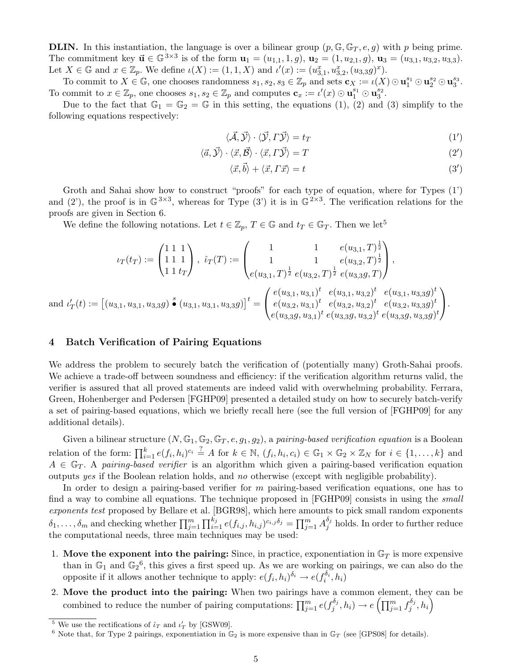**DLIN.** In this instantiation, the language is over a bilinear group  $(p, \mathbb{G}, \mathbb{G}_T, e, q)$  with p being prime. The commitment key  $\vec{u} \in \mathbb{G}^{3 \times 3}$  is of the form  $u_1 = (u_{1,1}, 1, g), u_2 = (1, u_{2,1}, g), u_3 = (u_{3,1}, u_{3,2}, u_{3,3}).$ Let  $X \in \mathbb{G}$  and  $x \in \mathbb{Z}_p$ . We define  $\iota(X) := (1, 1, X)$  and  $\iota'(x) := (u_{3,1}^x, u_{3,2}^x, (u_{3,3}g)^x)$ .

To commit to  $X \in \mathbb{G}$ , one chooses randomness  $s_1, s_2, s_3 \in \mathbb{Z}_p$  and sets  $\mathbf{c}_X := \iota(X) \odot \mathbf{u}_1^{s_1} \odot \mathbf{u}_2^{s_2} \odot \mathbf{u}_3^{s_3}$ . To commit to  $x \in \mathbb{Z}_p$ , one chooses  $s_1, s_2 \in \mathbb{Z}_p$  and computes  $\mathbf{c}_x := \iota'(x) \odot \mathbf{u}_1^{s_1} \odot \mathbf{u}_3^{s_2}$ .

Due to the fact that  $\mathbb{G}_1 = \mathbb{G}_2 = \mathbb{G}$  in this setting, the equations (1), (2) and (3) simplify to the following equations respectively:

$$
\langle \vec{\mathcal{A}}, \vec{\mathcal{Y}} \rangle \cdot \langle \vec{\mathcal{Y}}, \vec{\mathcal{Y}} \rangle = t_T \tag{1'}
$$

$$
\langle \vec{a}, \vec{\mathcal{Y}} \rangle \cdot \langle \vec{x}, \vec{\mathcal{B}} \rangle \cdot \langle \vec{x}, \vec{\mathcal{Y}} \rangle = T \tag{2'}
$$

$$
\langle \vec{x}, \vec{b} \rangle + \langle \vec{x}, \vec{T} \vec{x} \rangle = t \tag{3'}
$$

Groth and Sahai show how to construct "proofs" for each type of equation, where for Types  $(1')$ and (2'), the proof is in  $\mathbb{G}^{3\times3}$ , whereas for Type (3') it is in  $\mathbb{G}^{2\times3}$ . The verification relations for the proofs are given in Section 6.

We define the following notations. Let  $t \in \mathbb{Z}_p$ ,  $T \in \mathbb{G}$  and  $t_T \in \mathbb{G}_T$ . Then we let<sup>5</sup>

$$
\iota_T(t_T) := \begin{pmatrix} 1 & 1 & 1 \ 1 & 1 & 1 \ 1 & t_T \end{pmatrix}, \ \hat{\iota}_T(T) := \begin{pmatrix} 1 & 1 & e(u_{3,1}, T)^{\frac{1}{2}} \\ 1 & 1 & e(u_{3,2}, T)^{\frac{1}{2}} \\ e(u_{3,1}, T)^{\frac{1}{2}} e(u_{3,2}, T)^{\frac{1}{2}} e(u_{3,3}g, T) \end{pmatrix},
$$
  
and 
$$
\iota'_T(t) := \begin{bmatrix} (u_{3,1}, u_{3,1}, u_{3,3}g) \bullet (u_{3,1}, u_{3,1}, u_{3,3}g) \end{bmatrix}^t = \begin{pmatrix} e(u_{3,1}, u_{3,1})^t & e(u_{3,1}, u_{3,2})^t & e(u_{3,1}, u_{3,3}g)^t \\ e(u_{3,2}, u_{3,1})^t & e(u_{3,2}, u_{3,2})^t & e(u_{3,2}, u_{3,3}g)^t \\ e(u_{3,3}g, u_{3,1})^t & e(u_{3,3}g, u_{3,2})^t & e(u_{3,3}g, u_{3,3}g)^t \end{pmatrix}.
$$

# 4 Batch Verification of Pairing Equations

We address the problem to securely batch the verification of (potentially many) Groth-Sahai proofs. We achieve a trade-off between soundness and efficiency: if the verification algorithm returns valid, the verifier is assured that all proved statements are indeed valid with overwhelming probability. Ferrara, Green, Hohenberger and Pedersen [FGHP09] presented a detailed study on how to securely batch-verify a set of pairing-based equations, which we briefly recall here (see the full version of [FGHP09] for any additional details).

Given a bilinear structure  $(N, \mathbb{G}_1, \mathbb{G}_2, \mathbb{G}_T, e, g_1, g_2)$ , a pairing-based verification equation is a Boolean relation of the form:  $\prod_{i=1}^{k} e(f_i, h_i)^{c_i} \stackrel{?}{=} A$  for  $k \in \mathbb{N}$ ,  $(f_i, h_i, c_i) \in \mathbb{G}_1 \times \mathbb{G}_2 \times \mathbb{Z}_N$  for  $i \in \{1, \ldots, k\}$  and  $A \in \mathbb{G}_T$ . A pairing-based verifier is an algorithm which given a pairing-based verification equation outputs yes if the Boolean relation holds, and no otherwise (except with negligible probability).

In order to design a pairing-based verifier for m pairing-based verification equations, one has to find a way to combine all equations. The technique proposed in [FGHP09] consists in using the *small* exponents test proposed by Bellare et al. [BGR98], which here amounts to pick small random exponents  $\delta_1,\ldots,\delta_m$  and checking whether  $\prod_{j=1}^m\prod_{i=1}^{k_j}e(f_{i,j},h_{i,j})^{c_{i,j}\delta_j}=\prod_{j=1}^m A_j^{\delta_j}$  $j_j^{o_j}$  holds. In order to further reduce the computational needs, three main techniques may be used:

- 1. Move the exponent into the pairing: Since, in practice, exponentiation in  $\mathbb{G}_T$  is more expensive than in  $\mathbb{G}_1$  and  $\mathbb{G}_2^6$ , this gives a first speed up. As we are working on pairings, we can also do the opposite if it allows another technique to apply:  $e(f_i, h_i)^{\delta_i} \rightarrow e(f_i^{\delta_i}, h_i)$
- 2. Move the product into the pairing: When two pairings have a common element, they can be combined to reduce the number of pairing computations:  $\prod_{j=1}^{m} e(f_j^{\delta_j})$  $\delta_j^{\delta_j}, h_i) \rightarrow e\left(\prod_{j=1}^m f_j^{\delta_j}\right)$  $\left(\begin{smallmatrix} \delta_j\j, \end{smallmatrix}\right)$

<sup>&</sup>lt;sup>5</sup> We use the rectifications of  $\hat{\iota}_T$  and  $\iota'_T$  by [GSW09].

<sup>&</sup>lt;sup>6</sup> Note that, for Type 2 pairings, exponentiation in  $\mathbb{G}_2$  is more expensive than in  $\mathbb{G}_T$  (see [GPS08] for details).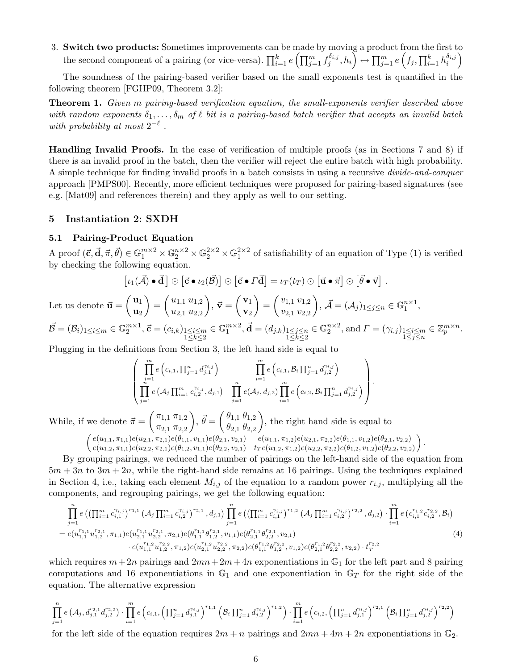3. Switch two products: Sometimes improvements can be made by moving a product from the first to the second component of a pairing (or vice-versa).  $\prod_{i=1}^{k} e\left(\prod_{j=1}^{m} f_j^{\delta_{i,j}}\right)$  $\left\{ \delta_{i,j},h_{i}\right\} \leftrightarrow\prod_{j=1}^{m}e\left(f_{j},\prod_{i=1}^{k}h_{i}^{\delta_{i,j}}\right)$  $\left(\begin{smallmatrix} \delta_{i,j}\ i \end{smallmatrix}\right)$ 

The soundness of the pairing-based verifier based on the small exponents test is quantified in the following theorem [FGHP09, Theorem 3.2]:

Theorem 1. Given m pairing-based verification equation, the small-exponents verifier described above with random exponents  $\delta_1, \ldots, \delta_m$  of  $\ell$  bit is a pairing-based batch verifier that accepts an invalid batch with probability at most  $2^{-\ell}$ .

Handling Invalid Proofs. In the case of verification of multiple proofs (as in Sections 7 and 8) if there is an invalid proof in the batch, then the verifier will reject the entire batch with high probability. A simple technique for finding invalid proofs in a batch consists in using a recursive divide-and-conquer approach [PMPS00]. Recently, more efficient techniques were proposed for pairing-based signatures (see e.g. [Mat09] and references therein) and they apply as well to our setting.

# 5 Instantiation 2: SXDH

#### 5.1 Pairing-Product Equation

A proof  $(\vec{c}, \vec{d}, \vec{\pi}, \vec{\theta}) \in \mathbb{G}_1^{m \times 2} \times \mathbb{G}_2^{n \times 2} \times \mathbb{G}_2^{2 \times 2} \times \mathbb{G}_1^{2 \times 2}$  of satisfiability of an equation of Type (1) is verified by checking the following equation.

$$
[\iota_1(\vec{\mathcal{A}})\bullet\vec{\mathbf{d}}\,]\odot[\vec{\mathbf{c}}\bullet\iota_2(\vec{\mathcal{B}})]\odot[\vec{\mathbf{c}}\bullet\vec{\mathbf{d}}]=\iota_T(t_T)\odot[\vec{\mathbf{u}}\bullet\vec{\mathbf{\pi}}]\odot[\vec{\theta}\bullet\vec{\mathbf{v}}].
$$

Let us denote  $\vec{u} = \begin{pmatrix} u_1 \\ u_2 \end{pmatrix}$  $\mathbf{u}_2$  $=$  $\left( \begin{array}{c} u_{1,1} & u_{1,2} \\ \vdots & \vdots \\ u_{n,2} & \vdots \end{array} \right)$  $u_{2,1}$   $u_{2,2}$  $\bigg), \vec{v} = \bigg(\frac{v_1}{v_1}\bigg)$  $\mathbf{v}_2$  $=$  $\left( \begin{array}{c} v_{1,1} & v_{1,2} \\ \vdots & \vdots \\ v_{n,1} & v_{n,n} \end{array} \right)$  $v_{2,1} v_{2,2}$  $\bigg), \vec{\mathcal{A}} = (\mathcal{A}_j)_{1 \leq j \leq n} \in \mathbb{G}_1^{n \times 1},$  $\vec{\mathcal{B}} = (\mathcal{B}_i)_{1 \leq i \leq m} \in \mathbb{G}$  $m\times1$ ∈ G  $m\times2$  $\vec{\mathbf{d}} = (d_{j,k})_{1 \leq j \leq n}$ ∈ G  $n\times 2$ ∈ Z m×n

$$
\mathcal{B} = (\mathcal{B}_i)_{1 \leq i \leq m} \in \mathbb{G}_2^{m \times 1}, \vec{\mathbf{c}} = (c_{i,k})_{1 \leq i \leq m \atop 1 \leq k \leq 2} \in \mathbb{G}_1^{m \times 2}, \vec{\mathbf{d}} = (d_{j,k})_{1 \leq j \leq n \atop 1 \leq k \leq 2} \in \mathbb{G}_2^{n \times 2}, \text{ and } \Gamma = (\gamma_{i,j})_{1 \leq i \leq m \atop 1 \leq j \leq n} \in \mathbb{Z}_p^{m \times n}.
$$

Plugging in the definitions from Section 3, the left hand side is equal to

$$
\left(\prod_{\substack{i=1\\j=1}}^m e\left(c_{i,1}, \prod_{j=1}^n d_{j,1}^{\gamma_{i,j}}\right) \prod_{\substack{i=1\\j=1}}^m e\left(c_{i,1}, \mathcal{B}_i \prod_{j=1}^n d_{j,2}^{\gamma_{i,j}}\right) \prod_{j=1}^m e\left(c_{i,2}, \mathcal{B}_i \prod_{j=1}^n d_{j,2}^{\gamma_{i,j}}\right)\right).
$$

While, if we denote  $\vec{\pi} = \begin{pmatrix} \pi_{1,1} & \pi_{1,2} \\ - & - \end{pmatrix}$  $\pi_{2,1}$   $\pi_{2,2}$  $\vec{\theta} = \begin{pmatrix} \theta_{1,1} & \theta_{1,2} \\ 0 & 0 \end{pmatrix}$  $\theta_{2,1}$   $\theta_{2,2}$ ), the right hand side is equal to  $\left\{e(u_{1,1}, \pi_{1,1})e(u_{2,1}, \pi_{2,1})e(\theta_{1,1}, v_{1,1})e(\theta_{2,1}, v_{2,1})\right\}$   $\left\{e(u_{1,1}, \pi_{1,2})e(u_{2,1}, \pi_{2,2})e(\theta_{1,1}, v_{1,2})e(\theta_{2,1}, v_{2,2})\right\}$ 

$$
\begin{pmatrix} c(u_{1,1}, u_{1,1})c(u_{2,1}, u_{2,1})c(v_{1,1}, v_{1,1})c(v_{2,1}, v_{2,1}) & c(u_{1,1}, u_{1,2})c(u_{2,1}, u_{2,2})c(v_{1,1}, v_{1,2})c(v_{2,1}, v_{2,2}) \\ e(u_{1,2}, \pi_{1,1})e(u_{2,2}, \pi_{2,1})e(\theta_{1,2}, v_{1,1})e(\theta_{2,2}, v_{2,1}) & tr(e(u_{1,2}, \pi_{1,2})e(u_{2,2}, \pi_{2,2})e(\theta_{1,2}, v_{1,2})e(\theta_{2,2}, v_{2,2}) \end{pmatrix}
$$

.

By grouping pairings, we reduced the number of pairings on the left-hand side of the equation from  $5m + 3n$  to  $3m + 2n$ , while the right-hand side remains at 16 pairings. Using the techniques explained in Section 4, i.e., taking each element  $M_{i,j}$  of the equation to a random power  $r_{i,j}$ , multiplying all the components, and regrouping pairings, we get the following equation:

$$
\prod_{j=1}^{n} e\left( \left( \prod_{i=1}^{m} c_{i,1}^{(i,j)} \right)^{r_{1,1}} \left( \mathcal{A}_{j} \prod_{i=1}^{m} c_{i,2}^{(i,j)} \right)^{r_{2,1}}, d_{j,1} \right) \prod_{j=1}^{n} e\left( \left( \prod_{i=1}^{m} c_{i,1}^{(i,j)} \right)^{r_{1,2}} \left( \mathcal{A}_{j} \prod_{i=1}^{m} c_{i,2}^{(i,j)} \right)^{r_{2,2}}, d_{j,2} \right) \cdot \prod_{i=1}^{m} e\left( c_{i,1}^{r_{1,2}} c_{i,2}^{r_{2,2}}, \mathcal{B}_{i} \right)
$$
\n
$$
= e(u_{1,1}^{r_{1,1}} u_{1,2}^{r_{2,1}}, \pi_{1,1}) e(u_{2,1}^{r_{1,1}} u_{2,2}^{r_{2,1}}, \pi_{2,1}) e(\theta_{1,1}^{r_{1,1}} \theta_{1,2}^{r_{2,1}}, v_{1,1}) e(\theta_{2,1}^{r_{1,1}} \theta_{2,2}^{r_{2,1}}, v_{2,1})
$$
\n
$$
\cdot e(u_{1,1}^{r_{1,2}} u_{1,2}^{r_{2,2}}, \pi_{1,2}) e(u_{2,1}^{r_{1,1}} u_{2,2}^{r_{2,2}}, \pi_{2,2}) e(\theta_{1,1}^{r_{1,2}} \theta_{1,2}^{r_{2,2}}, v_{1,2}) e(\theta_{2,1}^{r_{1,2}} \theta_{2,2}^{r_{2,2}}, v_{2,2}) \cdot t_{T}^{r_{2,2}} \tag{4}
$$

which requires  $m+2n$  pairings and  $2mn+2m+4n$  exponentiations in  $\mathbb{G}_1$  for the left part and 8 pairing computations and 16 exponentiations in  $\mathbb{G}_1$  and one exponentiation in  $\mathbb{G}_T$  for the right side of the equation. The alternative expression

$$
\prod_{j=1}^{n} e(\mathcal{A}_{j}, d_{j,1}^{r_{2,1}} d_{j,2}^{r_{2,2}}) \cdot \prod_{i=1}^{m} e\left(c_{i,1}, \left(\prod_{j=1}^{n} d_{j,1}^{\gamma_{i,j}}\right)^{r_{1,1}} \left(\mathcal{B}_{i} \prod_{j=1}^{n} d_{j,2}^{\gamma_{i,j}}\right)^{r_{1,2}}\right) \cdot \prod_{i=1}^{m} e\left(c_{i,2}, \left(\prod_{j=1}^{n} d_{j,1}^{\gamma_{i,j}}\right)^{r_{2,1}} \left(\mathcal{B}_{i} \prod_{j=1}^{n} d_{j,2}^{\gamma_{i,j}}\right)^{r_{2,2}}\right)
$$

for the left side of the equation requires  $2m + n$  pairings and  $2mn + 4m + 2n$  exponentiations in  $\mathbb{G}_2$ .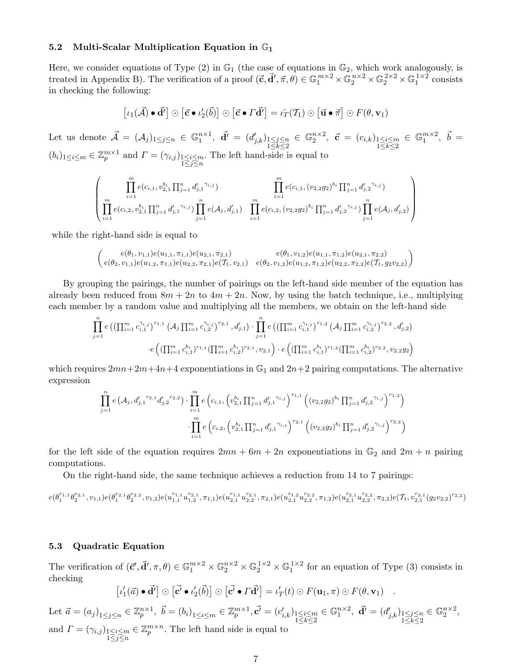# 5.2 Multi-Scalar Multiplication Equation in  $\mathbb{G}_1$

Here, we consider equations of Type  $(2)$  in  $\mathbb{G}_1$  (the case of equations in  $\mathbb{G}_2$ , which work analogously, is treated in Appendix B). The verification of a proof  $(\vec{c}, \vec{d}', \vec{\pi}, \theta) \in \mathbb{G}_1^{m \times 2} \times \mathbb{G}_2^{n \times 2} \times \mathbb{G}_2^{2 \times 2} \times \mathbb{G}_1^{1 \times 2}$  consists in checking the following:

$$
[\iota_1(\vec{\mathcal{A}})\bullet\vec{\mathbf{d}}']\odot[\vec{\mathbf{c}}\bullet\iota_2'(\vec{\mathbf{b}})]\odot[\vec{\mathbf{c}}\bullet\vec{\mathbf{d}}'] = \iota_T(\mathcal{T}_1)\odot[\vec{\mathbf{u}}\bullet\vec{\mathbf{\pi}}]\odot F(\theta,\mathbf{v}_1)
$$

Let us denote  $\vec{\mathcal{A}} = (\mathcal{A}_j)_{1 \leq j \leq n} \in \mathbb{G}_1^{n \times 1}$ ,  $\vec{\mathbf{d}}' = (d'_{j,k})_{\substack{1 \leq j \leq n \\ 1 \leq k \leq 2}}$  $\in \mathbb{G}_2^{n \times 2}$ ,  $\vec{c} = (c_{i,k})_{\substack{1 \leq i \leq m \\ 1 \leq k \leq 2}}$  $\in$   $\mathbb{G}_1^{m \times 2}$ ,  $\vec{b}$  =  $(b_i)_{1 \leq i \leq m} \in \mathbb{Z}_p^{m \times 1}$  and  $\Gamma = (\gamma_{i,j})_{\substack{1 \leq i \leq m \\ 1 \leq j \leq n}}$ . The left hand-side is equal to

$$
\left(\prod_{\substack{i=1 \ i \in I}}^m e(c_{i,1}, v_{2,1}^{b_i} \prod_{j=1}^n d'_{j,1}^{\gamma_{i,j}}) \prod_{i=1}^m e(c_{i,1}, (v_{2,2}g_2)^{b_i} \prod_{j=1}^n d'_{j,2}^{\gamma_{i,j}})\right) \prod_{i=1}^n e(c_{i,2}, (v_{2,2}g_2)^{b_i} \prod_{j=1}^n d'_{j,2}^{\gamma_{i,j}}) \prod_{j=1}^n e(\mathcal{A}_j, d'_{j,2})\right)
$$

while the right-hand side is equal to

$$
\begin{pmatrix} e(\theta_1, v_{1,1})e(u_{1,1}, \pi_{1,1})e(u_{2,1}, \pi_{2,1}) & e(\theta_1, v_{1,2})e(u_{1,1}, \pi_{1,2})e(u_{2,1}, \pi_{2,2}) \\ e(\theta_2, v_{1,1})e(u_{1,2}, \pi_{1,1})e(u_{2,2}, \pi_{2,1})e(\mathcal{T}_1, v_{2,1}) & e(\theta_2, v_{1,2})e(u_{1,2}, \pi_{1,2})e(u_{2,2}, \pi_{2,2})e(\mathcal{T}_1, g_2v_{2,2}) \end{pmatrix}
$$

By grouping the pairings, the number of pairings on the left-hand side member of the equation has already been reduced from  $8m + 2n$  to  $4m + 2n$ . Now, by using the batch technique, i.e., multiplying each member by a random value and multiplying all the members, we obtain on the left-hand side

$$
\prod_{j=1}^{n} e\left( \left( \prod_{i=1}^{m} c_{i,1}^{\gamma_{i,j}} \right)^{r_{1,1}} \left( \mathcal{A}_{j} \prod_{i=1}^{m} c_{i,2}^{\gamma_{i,j}} \right)^{r_{2,1}}, d'_{j,1} \right) \cdot \prod_{j=1}^{n} e\left( \left( \prod_{i=1}^{m} c_{i,1}^{\gamma_{i,j}} \right)^{r_{1,2}} \left( \mathcal{A}_{j} \prod_{i=1}^{m} c_{i,2}^{\gamma_{i,j}} \right)^{r_{2,2}}, d'_{j,2} \right) \cdot e\left( \left( \prod_{i=1}^{m} c_{i,1}^{b_i} \right)^{r_{1,1}} \left( \prod_{i=1}^{m} c_{i,2}^{b_i} \right)^{r_{2,1}}, v_{2,1} \right) \cdot e\left( \left( \prod_{i=1}^{m} c_{i,1}^{b_i} \right)^{r_{1,2}} \left( \prod_{i=1}^{m} c_{i,2}^{b_i} \right)^{r_{2,2}}, v_{2,2} g_2 \right) \right)
$$

which requires  $2mn+2m+4n+4$  exponentiations in  $\mathbb{G}_1$  and  $2n+2$  pairing computations. The alternative expression

$$
\prod_{j=1}^{n} e(\mathcal{A}_{j}, d'_{j,1}^{r_{2,1}} d'_{j,2}^{r_{2,2}}) \cdot \prod_{i=1}^{m} e\left(c_{i,1}, \left(v_{2,1}^{b_{i}} \prod_{j=1}^{n} d'_{j,1}^{r_{i,j}}\right)^{r_{1,1}} \left((v_{2,2}g_{2})^{b_{i}} \prod_{j=1}^{n} d'_{j,2}^{r_{i,j}}\right)^{r_{1,2}}\right) \cdot \prod_{i=1}^{m} e\left(c_{i,2}, \left(v_{2,1}^{b_{i}} \prod_{j=1}^{n} d'_{j,1}^{r_{i,j}}\right)^{r_{2,1}} \left((v_{2,2}g_{2})^{b_{i}} \prod_{j=1}^{n} d'_{j,2}^{r_{i,j}}\right)^{r_{2,2}}\right)
$$

for the left side of the equation requires  $2mn + 6m + 2n$  exponentiations in  $\mathbb{G}_2$  and  $2m + n$  pairing computations.

On the right-hand side, the same technique achieves a reduction from 14 to 7 pairings:

$$
e(\theta_1^{r_{1,1}}\theta_2^{r_{2,1}},v_{1,1})e(\theta_1^{r_{2,1}}\theta_2^{r_{2,2}},v_{1,2})e(u_{1,1}^{r_{1,1}}u_{1,2}^{r_{2,1}},\pi_{1,1})e(u_{2,1}^{r_{1,1}}u_{2,2}^{r_{2,1}},\pi_{2,1})e(u_{2,1}^{r_{1,2}}u_{2,2}^{r_{2,2}},\pi_{1,2})e(u_{2,1}^{r_{2,1}}u_{2,2}^{r_{2,2}},\pi_{2,2})e(T_1,v_{2,1}^{r_{2,1}}(g_2v_{2,2})^{r_{2,2}})
$$

### 5.3 Quadratic Equation

The verification of  $(\vec{c}', \vec{d}', \pi, \theta) \in \mathbb{G}_1^{m \times 2} \times \mathbb{G}_2^{n \times 2} \times \mathbb{G}_2^{1 \times 2} \times \mathbb{G}_1^{1 \times 2}$  for an equation of Type (3) consists in checking

$$
[\iota'_1(\vec{a}) \bullet \vec{d}'] \odot [\vec{c'} \bullet \iota'_2(\vec{b})] \odot [\vec{c'} \bullet \vec{T} \vec{d}'] = \iota'_T(t) \odot F(\mathbf{u}_1, \pi) \odot F(\theta, \mathbf{v}_1) .
$$

Let  $\vec{a} = (a_j)_{1 \leq j \leq n} \in \mathbb{Z}_p^{n \times 1}, \ \vec{b} = (b_i)_{1 \leq i \leq m} \in \mathbb{Z}_p^{m \times 1}, \vec{c'} = (c'_{i,k})_{\substack{1 \leq i \leq m \\ 1 \leq k \leq 2}}$  $\in \mathbb{G}_1^{n \times 2}$ ,  $\vec{\mathbf{d}}' = (d'_{j,k})_{\substack{1 \leq j \leq n \\ 1 \leq k \leq 2}}$  $\in \mathbb{G}_2^{n \times 2},$ and  $\Gamma = (\gamma_{i,j})_{\substack{1 \leq i \leq m \\ 1 \leq j \leq n}}$  $\in \mathbb{Z}_p^{m \times n}$ . The left hand side is equal to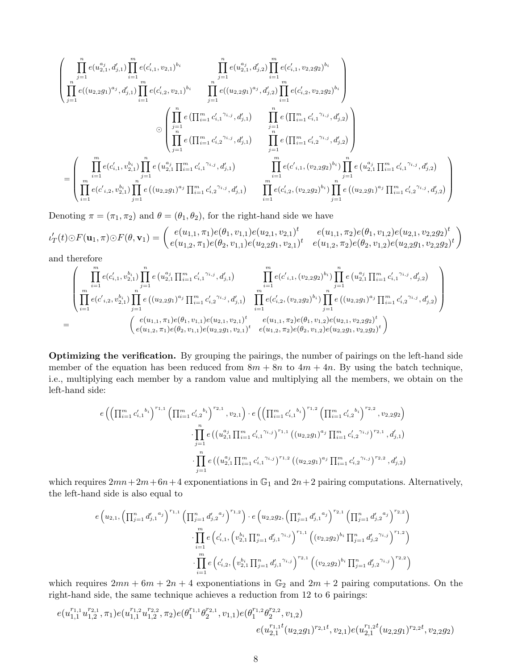$$
\left(\prod_{j=1}^{n} e(u_{2,1}^{a_j}, d'_{j,1}) \prod_{i=1}^{m} e(c'_{i,1}, v_{2,1})^{b_i} \prod_{j=1}^{n} e(u_{2,1}^{a_j}, d'_{j,2}) \prod_{i=1}^{m} e(c'_{i,1}, v_{2,2}g_2)^{b_i} \right)
$$
\n
$$
\prod_{j=1}^{n} e((u_{2,2}g_1)^{a_j}, d'_{j,1}) \prod_{i=1}^{m} e(c'_{i,2}, v_{2,1})^{b_i} \prod_{j=1}^{n} e((u_{2,2}g_1)^{a_j}, d'_{j,2}) \prod_{i=1}^{m} e(c'_{i,2}, v_{2,2}g_2)^{b_i} \right)
$$
\n
$$
\odot \left(\prod_{j=1}^{n} e\left(\prod_{i=1}^{m} c'_{i,1}^{\gamma_{i,j}}, d'_{j,1}\right) \prod_{j=1}^{n} e\left(\prod_{i=1}^{m} c'_{i,1}^{\gamma_{i,j}}, d'_{j,2}\right) \right)
$$
\n
$$
= \left(\prod_{i=1}^{m} e(c'_{i,1}, v_{2,1}^{b_i}) \prod_{j=1}^{n} e(u_{2,1}^{a_j} \prod_{i=1}^{m} c'_{i,1}^{\gamma_{i,j}}, d'_{j,1}) \prod_{i=1}^{m} e\left(\prod_{i=1}^{m} c'_{i,2}^{\gamma_{i,j}}, d'_{j,2}\right) \right)
$$
\n
$$
= \left(\prod_{i=1}^{m} e(c'_{i,1}, v_{2,1}^{b_i}) \prod_{j=1}^{n} e(u_{2,2}^{a_j} \prod_{i=1}^{m} c'_{i,1}^{\gamma_{i,j}}, d'_{j,1}) \prod_{i=1}^{m} e(c'_{i,1}, (v_{2,2}g_2)^{b_i}) \prod_{j=1}^{n} e(u_{2,1}^{a_j} \prod_{i=1}^{m} c'_{i,1}^{\gamma_{i,j}}, d'_{j,2}) \right)
$$
\n
$$
= \left(\prod_{i=1}^{m} e(c'_{i,2}, v_{2,1}^{b_i}) \prod_{j=1}^{n} e((u_{2,2}g_1)^{a_j} \prod_{i=1}
$$

Denoting  $\pi = (\pi_1, \pi_2)$  and  $\theta = (\theta_1, \theta_2)$ , for the right-hand side we have

$$
\iota'_T(t)\odot F(\mathbf{u}_1,\pi)\odot F(\theta,\mathbf{v}_1)=\begin{pmatrix}e(u_{1,1},\pi_1)e(\theta_1,v_{1,1})e(u_{2,1},v_{2,1})^t & e(u_{1,1},\pi_2)e(\theta_1,v_{1,2})e(u_{2,1},v_{2,2}g_2)^t\\e(u_{1,2},\pi_1)e(\theta_2,v_{1,1})e(u_{2,2}g_1,v_{2,1})^t & e(u_{1,2},\pi_2)e(\theta_2,v_{1,2})e(u_{2,2}g_1,v_{2,2}g_2)^t\end{pmatrix}
$$

and therefore

$$
=\begin{pmatrix} \prod_{i=1}^{m} e(c'_{i,1}, v_{2,1}^{b_{i}}) \prod_{j=1}^{n} e(u_{2,1}^{a_{j}} \prod_{i=1}^{m} c'_{i,1}^{'i,j}, d'_{j,1}) & \prod_{i=1}^{m} e(c'_{i,1}, (v_{2,2}g_{2})^{b_{i}}) \prod_{j=1}^{n} e(u_{2,1}^{a_{j}} \prod_{i=1}^{m} c'_{i,1}^{'i,j}, d'_{j,2}) \\ \prod_{i=1}^{m} e(c'_{i,2}, v_{2,1}^{b_{i}}) \prod_{j=1}^{n} e((u_{2,2}g_{1})^{a_{j}} \prod_{i=1}^{m} c'_{i,2}^{'i,j}, d'_{j,1}) & \prod_{i=1}^{m} e(c'_{i,2}, (v_{2,2}g_{2})^{b_{i}}) \prod_{j=1}^{n} e((u_{2,2}g_{1})^{a_{j}} \prod_{i=1}^{m} c'_{i,2}^{'i,j}, d'_{j,2}) \\ e(u_{1,1}, \pi_{1})e(\theta_{1}, v_{1,1})e(u_{2,1}, v_{2,1})^{t} & e(u_{1,1}, \pi_{2})e(\theta_{1}, v_{1,2})e(u_{2,1}, v_{2,2}g_{2})^{t} \\ e(u_{1,2}, \pi_{1})e(\theta_{2}, v_{1,1})e(u_{2,2}g_{1}, v_{2,1})^{t} & e(u_{1,2}, \pi_{2})e(\theta_{2}, v_{1,2})e(u_{2,2}g_{1}, v_{2,2}g_{2})^{t} \end{pmatrix}
$$

Optimizing the verification. By grouping the pairings, the number of pairings on the left-hand side member of the equation has been reduced from  $8m + 8n$  to  $4m + 4n$ . By using the batch technique, i.e., multiplying each member by a random value and multiplying all the members, we obtain on the left-hand side:

$$
e\left(\left(\prod_{i=1}^{m}c'_{i,1}^{b_{i}}\right)^{r_{1,1}}\left(\prod_{i=1}^{m}c'_{i,2}^{b_{i}}\right)^{r_{2,1}},v_{2,1}\right)\cdot e\left(\left(\prod_{i=1}^{m}c'_{i,1}^{b_{i}}\right)^{r_{1,2}}\left(\prod_{i=1}^{m}c'_{i,2}^{b_{i}}\right)^{r_{2,2}},v_{2,2}g_{2}\right)\right)
$$

$$
\cdot \prod_{j=1}^{n}e\left(\left(u_{2,1}^{a_{j}}\prod_{i=1}^{m}c'_{i,1}^{r_{i,j}}\right)^{r_{1,1}}\left(\left(u_{2,2}g_{1}\right)^{a_{j}}\prod_{i=1}^{m}c'_{i,2}^{r_{i,j}}\right)^{r_{2,1}},d'_{j,1}\right)
$$

$$
\cdot \prod_{j=1}^{n}e\left(\left(u_{2,1}^{a_{j}}\prod_{i=1}^{m}c'_{i,1}^{r_{i,j}}\right)^{r_{1,2}}\left(\left(u_{2,2}g_{1}\right)^{a_{j}}\prod_{i=1}^{m}c'_{i,2}^{r_{i,j}}\right)^{r_{2,2}},d'_{j,2}\right)
$$

which requires  $2mn+2m+6n+4$  exponentiations in  $\mathbb{G}_1$  and  $2n+2$  pairing computations. Alternatively, the left-hand side is also equal to

$$
e\left(u_{2,1}, \left(\prod_{j=1}^{n} d'_{j,1}^{a_j}\right)^{r_{1,1}} \left(\prod_{j=1}^{n} d'_{j,2}^{a_j}\right)^{r_{1,2}}\right) \cdot e\left(u_{2,2}g_{2}, \left(\prod_{j=1}^{n} d'_{j,1}^{a_j}\right)^{r_{2,1}} \left(\prod_{j=1}^{n} d'_{j,2}^{a_j}\right)^{r_{2,2}}\right) \cdot \prod_{i=1}^{m} e\left(c'_{i,1}, \left(v_{2,1}^{b_i} \prod_{j=1}^{n} d'_{j,1}^{r_{i,j}}\right)^{r_{1,1}} \left((v_{2,2}g_{2})^{b_i} \prod_{j=1}^{n} d'_{j,2}^{r_{i,j}}\right)^{r_{1,2}}\right) \cdot \prod_{i=1}^{m} e\left(c'_{i,2}, \left(v_{2,1}^{b_i} \prod_{j=1}^{n} d'_{j,1}^{r_{i,j}}\right)^{r_{2,1}} \left((v_{2,2}g_{2})^{b_i} \prod_{j=1}^{n} d'_{j,2}^{r_{i,j}}\right)^{r_{2,2}}\right)
$$

which requires  $2mn + 6m + 2n + 4$  exponentiations in  $\mathbb{G}_2$  and  $2m + 2$  pairing computations. On the right-hand side, the same technique achieves a reduction from 12 to 6 pairings:

$$
e(u_{1,1}^{r_{1,1}}u_{1,2}^{r_{2,1}},\pi_1)e(u_{1,1}^{r_{1,2}}u_{1,2}^{r_{2,2}},\pi_2)e(\theta_1^{r_{1,1}}\theta_2^{r_{2,1}},v_{1,1})e(\theta_1^{r_{1,2}}\theta_2^{r_{2,2}},v_{1,2})\\e(u_{2,1}^{r_{1,1}t}(u_{2,2}g_1)^{r_{2,1}t},v_{2,1})e(u_{2,1}^{r_{1,2}t}(u_{2,2}g_1)^{r_{2,2}t},v_{2,2}g_2)
$$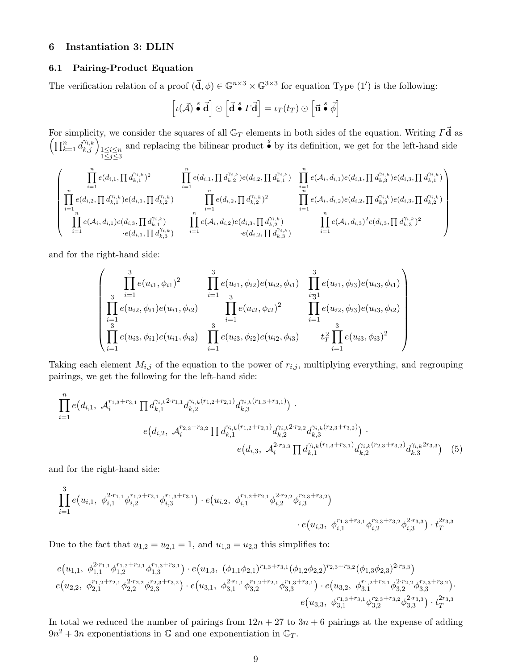# 6 Instantiation 3: DLIN

# 6.1 Pairing-Product Equation

The verification relation of a proof  $(\mathbf{d}, \phi) \in \mathbb{G}^{n \times 3} \times \mathbb{G}^{3 \times 3}$  for equation Type  $(1')$  is the following:

$$
\left[\iota(\vec{\mathcal{A}})\stackrel{s}{\bullet}\vec{\mathbf{d}}\right]\odot\left[\vec{\mathbf{d}}\stackrel{s}{\bullet} \Gamma\vec{\mathbf{d}}\right]=\iota_T(t_T)\odot\left[\vec{\mathbf{u}}\stackrel{s}{\bullet}\vec{\phi}\right]
$$

For simplicity, we consider the squares of all  $\mathbb{G}_T$  elements in both sides of the equation. Writing  $\vec{\Gamma}$  as  $\left(\prod_{k=1}^n d_{k,j}^{\gamma_{i,k}}\right)_{\substack{1 \leq i \leq n \\ 1 \leq j \leq 3}}$ and replacing the bilinear product  $\stackrel{s}{\bullet}$  by its definition, we get for the left-hand side

$$
\left(\begin{array}{cc} \prod_{i=1}^{n}e(d_{i,1},\prod d_{k,1}^{\gamma_{i,k}})^{2} & \prod_{i=1}^{n}e(d_{i,1},\prod d_{k,2}^{\gamma_{i,k}})e(d_{i,2},\prod d_{k,1}^{\gamma_{i,k}}) & \prod_{i=1}^{n}e(\mathcal{A}_{i},d_{i,1})e(d_{i,1},\prod d_{k,3}^{\gamma_{i,k}})e(d_{i,3},\prod d_{k,1}^{\gamma_{i,k}})\\ \prod_{i=1}^{n}e(d_{i,2},\prod d_{k,1}^{\gamma_{i,k}})e(d_{i,1},\prod d_{k,2}^{\gamma_{i,k}}) & \prod_{i=1}^{n}e(d_{i,2},\prod d_{k,2}^{\gamma_{i,k}})^{2} & \prod_{i=1}^{n}e(\mathcal{A}_{i},d_{i,2})e(d_{i,2},\prod d_{k,3}^{\gamma_{i,k}})e(d_{i,3},\prod d_{k,2}^{\gamma_{i,k}})\\ \prod_{i=1}^{n}e(\mathcal{A}_{i},d_{i,1})e(d_{i,3},\prod d_{k,3}^{\gamma_{i,k}}) & \prod_{i=1}^{n}e(\mathcal{A}_{i},d_{i,2})e(d_{i,3},\prod d_{k,3}^{\gamma_{i,k}}) & \prod_{i=1}^{n}e(\mathcal{A}_{i},d_{i,3})^{2}e(d_{i,3},\prod d_{k,3}^{\gamma_{i,k}})^{2}\\ \cdot e(d_{i,1},\prod d_{k,3}^{\gamma_{i,k}}) & \cdot e(d_{i,2},\prod d_{k,3}^{\gamma_{i,k}}) & \prod_{i=1}^{n}e(\mathcal{A}_{i},d_{i,3})^{2}e(d_{i,3},\prod d_{k,3}^{\gamma_{i,k}})^{2} \end{array}\right)
$$

and for the right-hand side:

$$
\begin{pmatrix}\n\vdots & \vdots & \vdots & \vdots & \vdots \\
\prod_{i=1}^{3} e(u_{i1}, \phi_{i1})^{2} & \prod_{i=1}^{3} e(u_{i1}, \phi_{i2}) e(u_{i2}, \phi_{i1}) & \prod_{i=1}^{3} e(u_{i1}, \phi_{i3}) e(u_{i3}, \phi_{i1}) \\
\prod_{i=1}^{3} e(u_{i2}, \phi_{i1}) e(u_{i1}, \phi_{i2}) & \prod_{i=1}^{3} e(u_{i2}, \phi_{i2})^{2} & \prod_{i=1}^{3} e(u_{i2}, \phi_{i3}) e(u_{i3}, \phi_{i2}) \\
\prod_{i=1}^{3} e(u_{i3}, \phi_{i1}) e(u_{i1}, \phi_{i3}) & \prod_{i=1}^{3} e(u_{i3}, \phi_{i2}) e(u_{i2}, \phi_{i3}) & t_{T}^{2} \prod_{i=1}^{3} e(u_{i3}, \phi_{i3})^{2}\n\end{pmatrix}
$$

Taking each element  $M_{i,j}$  of the equation to the power of  $r_{i,j}$ , multiplying everything, and regrouping pairings, we get the following for the left-hand side:

$$
\prod_{i=1}^{n} e(d_{i,1}, \mathcal{A}_{i}^{r_{1,3}+r_{3,1}} \prod d_{k,1}^{\gamma_{i,k}^{2\cdot r_{1,1}} d_{k,2}^{\gamma_{i,k}(r_{1,2}+r_{2,1})} d_{k,3}^{\gamma_{i,k}(r_{1,3}+r_{3,1})}) \cdot
$$
\n
$$
e(d_{i,2}, \mathcal{A}_{i}^{r_{2,3}+r_{3,2}} \prod d_{k,1}^{\gamma_{i,k}(r_{1,2}+r_{2,1})} d_{k,2}^{\gamma_{i,k}^{2\cdot r_{2,2}} d_{k,3}^{\gamma_{i,k}(r_{2,3}+r_{3,2})}) \cdot
$$
\n
$$
e(d_{i,3}, \mathcal{A}_{i}^{2\cdot r_{3,3}} \prod d_{k,1}^{\gamma_{i,k}(r_{1,3}+r_{3,1})} d_{k,2}^{\gamma_{i,k}(r_{2,3}+r_{3,2})} d_{k,3}^{\gamma_{i,k}^{2\cdot r_{3,3}}})
$$
\n(5)

and for the right-hand side:

$$
\prod_{i=1}^3e\big(u_{i,1},\ \phi_{i,1}^{2\cdot r_{1,1}}\phi_{i,2}^{r_{1,2}+r_{2,1}}\phi_{i,3}^{r_{1,3}+r_{3,1}}\big)\cdot e\big(u_{i,2},\ \phi_{i,1}^{r_{1,2}+r_{2,1}}\phi_{i,2}^{2\cdot r_{2,2}}\phi_{i,3}^{r_{2,3}+r_{3,2}}\big)\cdot e\big(u_{i,3},\ \phi_{i,1}^{r_{1,3}+r_{3,1}}\phi_{i,2}^{r_{2,3}+r_{3,2}}\phi_{i,3}^{2\cdot r_{3,3}}\big)\cdot t_T^{2r_{3,3}}
$$

Due to the fact that  $u_{1,2} = u_{2,1} = 1$ , and  $u_{1,3} = u_{2,3}$  this simplifies to:

$$
\begin{aligned} &e\big(u_{1,1},\ \phi_{1,1}^{2\cdot r_{1,1}}\phi_{1,2}^{r_{1,2}+r_{2,1}}\phi_{1,3}^{r_{1,3}+r_{3,1}}\big)\cdot e\big(u_{1,3},\ (\phi_{1,1}\phi_{2,1})^{r_{1,3}+r_{3,1}}(\phi_{1,2}\phi_{2,2})^{r_{2,3}+r_{3,2}}(\phi_{1,3}\phi_{2,3})^{2\cdot r_{3,3}}\big)\\ &e\big(u_{2,2},\ \phi_{2,1}^{r_{1,2}+r_{2,1}}\phi_{2,2}^{2\cdot r_{2,2}}\phi_{2,3}^{r_{2,3}+r_{3,2}}\big)\cdot e\big(u_{3,1},\ \phi_{3,1}^{2\cdot r_{1,1}}\phi_{3,2}^{r_{1,2}+r_{2,1}}\phi_{3,3}^{r_{1,3}+r_{3,1}}\big)\cdot e\big(u_{3,2},\ \phi_{3,1}^{r_{1,2}+r_{2,1}}\phi_{3,2}^{2\cdot r_{2,2}}\phi_{3,3}^{r_{2,3}+r_{3,2}}\big)\cdot e\big(u_{3,3},\ \phi_{3,1}^{r_{1,3}+r_{3,1}}\phi_{3,2}^{r_{2,3}+r_{3,2}}\phi_{3,3}^{2\cdot r_{3,3}}\big)\cdot t_T^{2r_{3,3}} \end{aligned}
$$

In total we reduced the number of pairings from  $12n + 27$  to  $3n + 6$  pairings at the expense of adding  $9n^2 + 3n$  exponentiations in  $\mathbb{G}$  and one exponentiation in  $\mathbb{G}_T$ .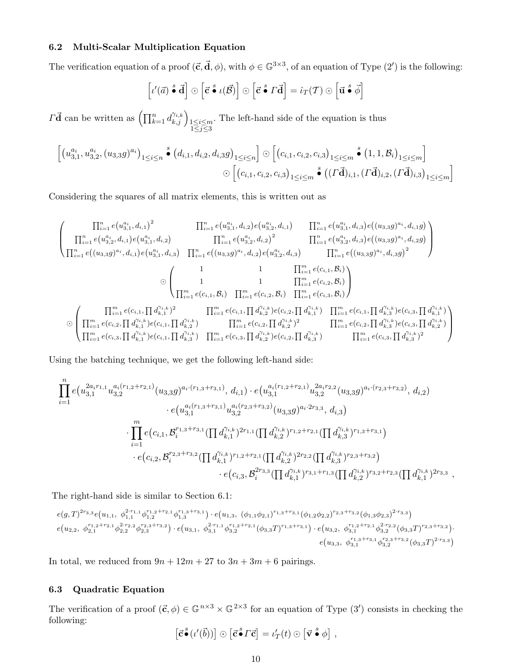# 6.2 Multi-Scalar Multiplication Equation

The verification equation of a proof  $(\vec{c}, \vec{d}, \phi)$ , with  $\phi \in \mathbb{G}^{3 \times 3}$ , of an equation of Type  $(2')$  is the following:

$$
\left[\iota'(\vec{a}) \stackrel{s}{\bullet} \vec{d}\right] \odot \left[\vec{c} \stackrel{s}{\bullet} \iota(\vec{\mathcal{B}})\right] \odot \left[\vec{c} \stackrel{s}{\bullet} \Gamma \vec{d}\right] = \hat{\iota}_T(\mathcal{T}) \odot \left[\vec{u} \stackrel{s}{\bullet} \vec{\phi}\right]
$$

 $\overrightarrow{I}$  can be written as  $\left(\prod_{k=1}^n d_{k,j}^{\gamma_{i,k}}\right)_{\substack{1 \leq i \leq m \\ 1 \leq j \leq 3}}$ . The left-hand side of the equation is thus

$$
\left[ \left( u_{3,1}^{a_i}, u_{3,2}^{a_i}, (u_{3,3}g)^{a_i} \right)_{1 \le i \le n} \right] \bullet \left( d_{i,1}, d_{i,2}, d_{i,3}g \right)_{1 \le i \le n} \right] \odot \left[ \left( c_{i,1}, c_{i,2}, c_{i,3} \right)_{1 \le i \le m} \right] \bullet \left( 1, 1, \mathcal{B}_i \right)_{1 \le i \le m} \right]
$$
  

$$
\odot \left[ \left( c_{i,1}, c_{i,2}, c_{i,3} \right)_{1 \le i \le m} \right] \bullet \left( \left( \Gamma \vec{\mathbf{d}} \right)_{i,1}, \left( \Gamma \vec{\mathbf{d}} \right)_{i,2}, \left( \Gamma \vec{\mathbf{d}} \right)_{i,3} \right)_{1 \le i \le m} \right]
$$

Considering the squares of all matrix elements, this is written out as

$$
\left(\begin{matrix}\prod_{i=1}^{n}e(u_{3,1}^{a_{i}},d_{i,1})^{2} & \prod_{i=1}^{n}e(u_{3,1}^{a_{i}},d_{i,2})e(u_{3,2}^{a_{i}},d_{i,1}) & \prod_{i=1}^{n}e(u_{3,1}^{a_{i}},d_{i,3})e((u_{3,3}g)^{a_{i}},d_{i,1}g) \\
\prod_{i=1}^{n}e(u_{3,2}^{a_{i}},d_{i,1})e(u_{3,1}^{a_{i}},d_{i,2}) & \prod_{i=1}^{n}e(u_{3,2}^{a_{i}},d_{i,2})^{2} & \prod_{i=1}^{n}e(u_{3,2}^{a_{i}},d_{i,3})e((u_{3,3}g)^{a_{i}},d_{i,2}g) \\
\prod_{i=1}^{n}e((u_{3,3}g)^{a_{i}},d_{i,1})e(u_{3,1}^{a_{i}},d_{i,3}) & \prod_{i=1}^{n}e((u_{3,3}g)^{a_{i}},d_{i,2})e(u_{3,2}^{a_{i}},d_{i,3}) & \prod_{i=1}^{n}e((u_{3,3}g)^{a_{i}},d_{i,3}g)^{2}\n\end{matrix}\right)
$$
\n
$$
\odot \left(\begin{array}{cccc} 1 & 1 & \prod_{i=1}^{m}e(c_{i,1},B_{i}) & \prod_{i=1}^{m}e(c_{i,1},B_{i}) & \prod_{i=1}^{m}e(c_{i,2},B_{i}) & \prod_{i=1}^{m}e(c_{i,2},B_{i}) & \prod_{i=1}^{m}e(c_{i,2},B_{i}) & \prod_{i=1}^{m}e(c_{i,2},B_{i}) & \prod_{i=1}^{m}e(c_{i,2},B_{i}) & \prod_{i=1}^{m}e(c_{i,2},B_{i}) & \prod_{i=1}^{m}e(c_{i,2},B_{i}) & \prod_{i=1}^{m}e(c_{i,2},B_{i}) & \prod_{i=1}^{m}e(c_{i,2},B_{i}) & \prod_{i=1}^{m}e(c_{i,2},B_{i}) & \prod_{i=1}^{m}e(c_{i,2},B_{i}) & \prod_{i=1}^{m}e(c_{i,2},B_{i}) & \prod_{i=1}^{m}e(c_{i
$$

Using the batching technique, we get the following left-hand side:

$$
\prod_{i=1}^{n} e(u_{3,1}^{2a_{i}r_{1,1}} u_{3,2}^{a_{i}(r_{1,2}+r_{2,1})}(u_{3,3}g)^{a_{i}\cdot(r_{1,3}+r_{3,1})}, d_{i,1}) \cdot e(u_{3,1}^{a_{i}(r_{1,2}+r_{2,1})} u_{3,2}^{2a_{i}r_{2,2}}(u_{3,3}g)^{a_{i}\cdot(r_{2,3}+r_{3,2})}, d_{i,2})
$$
\n
$$
\cdot e(u_{3,1}^{a_{i}(r_{1,3}+r_{3,1})} u_{3,2}^{a_{i}(r_{2,3}+r_{3,2})}(u_{3,3}g)^{a_{i}\cdot 2r_{3,3}}, d_{i,3})
$$
\n
$$
\cdot \prod_{i=1}^{m} e(c_{i,1}, \mathcal{B}_{i}^{r_{1,3}+r_{3,1}}(\prod d_{k,1}^{\gamma_{i,k}})^{2r_{1,1}}(\prod d_{k,2}^{\gamma_{i,k}})^{r_{1,2}+r_{2,1}}(\prod d_{k,3}^{\gamma_{i,k}})^{r_{1,3}+r_{3,1}})
$$
\n
$$
\cdot e(c_{i,2}, \mathcal{B}_{i}^{r_{2,3}+r_{3,2}}(\prod d_{k,1}^{\gamma_{i,k}})^{r_{1,2}+r_{2,1}}(\prod d_{k,2}^{\gamma_{i,k}})^{2r_{2,2}}(\prod d_{k,3}^{\gamma_{i,k}})^{r_{2,3}+r_{3,2}})
$$
\n
$$
\cdot e(c_{i,3}, \mathcal{B}_{i}^{2r_{3,3}}(\prod d_{k,1}^{\gamma_{i,k}})^{r_{3,1}+r_{1,3}}(\prod d_{k,2}^{\gamma_{i,k}})^{r_{3,2}+r_{2,3}}(\prod d_{k,1}^{\gamma_{i,k}})^{2r_{3,3}}
$$

,

The right-hand side is similar to Section 6.1:

$$
\begin{aligned} e(g,T)^{2r_{3,3}}e\big(u_{1,1},\ \phi_{1,1}^{2\cdot r_{1,1}}\phi_{1,2}^{r_{1,2}+r_{2,1}}\phi_{1,3}^{r_{1,3}+r_{3,1}}\big)\cdot e\big(u_{1,3},\ (\phi_{1,1}\phi_{2,1})^{r_{1,3}+r_{3,1}}(\phi_{1,2}\phi_{2,2})^{r_{2,3}+r_{3,2}}(\phi_{1,3}\phi_{2,3})^{2\cdot r_{3,3}}\big)\\ e\big(u_{2,2},\ \phi_{2,1}^{r_{1,2}+r_{2,1}}\phi_{2,2}^{2\cdot r_{2,2}}\phi_{2,3}^{r_{2,3}+r_{3,2}}\big)\cdot e\big(u_{3,1},\ \phi_{3,1}^{2\cdot r_{1,1}}\phi_{3,2}^{r_{1,2}+r_{2,1}}(\phi_{3,3}T)^{r_{1,3}+r_{3,1}}\big)\cdot e\big(u_{3,2},\ \phi_{3,1}^{r_{1,2}+r_{2,1}}\phi_{3,2}^{2\cdot r_{2,2}}(\phi_{3,3}T)^{r_{2,3}+r_{3,2}}\big)\cdot \\ e\big(u_{3,3},\ \phi_{3,1}^{r_{1,3}+r_{3,1}}\phi_{3,2}^{r_{3,2}+r_{3,2}}(\phi_{3,3}T)^{2\cdot r_{3,3}}\big)\end{aligned}
$$

In total, we reduced from  $9n + 12m + 27$  to  $3n + 3m + 6$  pairings.

# 6.3 Quadratic Equation

The verification of a proof  $(\vec{c}, \phi) \in \mathbb{G}^{n \times 3} \times \mathbb{G}^{2 \times 3}$  for an equation of Type  $(3')$  consists in checking the following:

$$
\left[\vec{\mathbf{c}}\cdot(\iota'(\vec{b}))\right]\odot\left[\vec{\mathbf{c}}\cdot(\vec{r})\right] = \iota'_T(t)\odot\left[\vec{v}\cdot(\vec{r})\right],
$$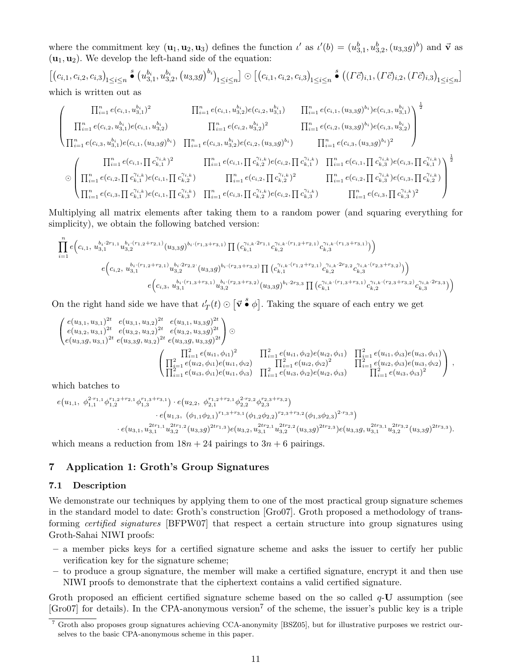where the commitment key  $(\mathbf{u}_1, \mathbf{u}_2, \mathbf{u}_3)$  defines the function  $\iota'$  as  $\iota'(b) = (u_{3,1}^b, u_{3,2}^b, (u_{3,3}g)^b)$  and  $\vec{\mathbf{v}}$  as  $(\mathbf{u}_1, \mathbf{u}_2)$ . We develop the left-hand side of the equation:

 $[(c_{i,1}, c_{i,2}, c_{i,3})_{1 \leq i \leq n}]$  $\int_{0}^{s} (u_{3,1}^{b_i}, u_{3,2}^{b_i}, (u_{3,3}g)^{b_i})_{1 \leq i \leq n}] \odot [(c_{i,1}, c_{i,2}, c_{i,3})_{1 \leq i \leq n}]$  $\big( (\Gamma \vec{c})_{i,1}, (\Gamma \vec{c})_{i,2}, (\Gamma \vec{c})_{i,3} \big)_{1 \leq i \leq n} \big]$ which is written out as

$$
\left(\begin{matrix}\n\prod_{i=1}^{n} e(c_{i,1}, u_{3,1}^{b_{i}})^{2} & \prod_{i=1}^{n} e(c_{i,1}, u_{3,2}^{b_{i}}) e(c_{i,2}, u_{3,1}^{b_{i}}) & \prod_{i=1}^{n} e(c_{i,1}, (u_{3,3}g)^{b_{i}}) e(c_{i,3}, u_{3,1}^{b_{i}}) \\
\prod_{i=1}^{n} e(c_{i,2}, u_{3,1}^{b_{i}}) e(c_{i,1}, u_{3,2}^{b_{i}}) & \prod_{i=1}^{n} e(c_{i,2}, u_{3,2}^{b_{i}})^{2} & \prod_{i=1}^{n} e(c_{i,2}, (u_{3,3}g)^{b_{i}}) e(c_{i,3}, u_{3,2}^{b_{i}}) \\
\prod_{i=1}^{n} e(c_{i,3}, u_{3,1}^{b_{i}}) e(c_{i,1}, (u_{3,3}g)^{b_{i}}) & \prod_{i=1}^{n} e(c_{i,3}, u_{3,2}^{b_{i}}) e(c_{i,2}, (u_{3,3}g)^{b_{i}})^{2}\n\end{matrix}\right)^{\frac{1}{2}}
$$
\n
$$
\bigotimes \left(\begin{matrix}\n\prod_{i=1}^{n} e(c_{i,1}, \prod c_{k,1}^{\gamma_{i,k}})^{2} & \prod_{i=1}^{n} e(c_{i,1}, \prod c_{k,2}^{\gamma_{i,k}}) e(c_{i,2}, \prod c_{k,1}^{\gamma_{i,k}}) & \prod_{i=1}^{n} e(c_{i,1}, \prod c_{k,3}^{\gamma_{i,k}}) e(c_{i,3}, \prod c_{k,1}^{\gamma_{i,k}}) \\
\prod_{i=1}^{n} e(c_{i,2}, \prod c_{k,1}^{\gamma_{i,k}}) e(c_{i,1}, \prod c_{k,2}^{\gamma_{i,k}}) & \prod_{i=1}^{n} e(c_{i,2}, \prod c_{k,2}^{\gamma_{i,k}})^{2} & \prod_{i=1}^{n} e(c_{i,2}, \prod c_{k,3}^{\gamma_{i,k}}) e(c_{i,3}, \prod c_{k,2}^{\gamma_{i,k}})\n\end{matrix}\right)^{\frac{1}{2}}
$$
\n
$$
\bigotimes \left(\begin{matrix}\n\prod_{i=1}
$$

Multiplying all matrix elements after taking them to a random power (and squaring everything for simplicity), we obtain the following batched version:

$$
\prod_{i=1}^{n} e\Big(c_{i,1},\, u_{3,1}^{b_i\cdot (r_{1,2}+r_{2,1})}(u_{3,3}g)^{b_i\cdot (r_{1,3}+r_{3,1})}\prod\big(c_{k,1}^{\gamma_{i,k}\cdot 2r_{1,1}}c_{k,2}^{\gamma_{i,k}\cdot (r_{1,2}+r_{2,1})}c_{k,3}^{\gamma_{i,k}\cdot (r_{1,3}+r_{3,1})}\big)\Big)\\e\Big(c_{i,2},\, u_{3,1}^{b_i\cdot (r_{1,2}+r_{2,1})}u_{3,2}^{b_i\cdot 2r_{2,2}}\cdot (u_{3,3}g)^{b_i\cdot (r_{2,3}+r_{3,2})}\prod\big(c_{k,1}^{\gamma_{i,k}\cdot (r_{1,2}+r_{2,1})}c_{k,2}^{\gamma_{i,k}\cdot 2r_{2,2}}c_{k,3}^{\gamma_{i,k}\cdot (r_{2,3}+r_{3,2})}\big)\Big)\\e\Big(c_{i,3},\, u_{3,1}^{b_i\cdot (r_{1,3}+r_{3,1})}u_{3,2}^{b_i\cdot (r_{2,3}+r_{3,2})}(u_{3,3}g)^{b_i\cdot 2r_{3,3}}\prod\big(c_{k,1}^{\gamma_{i,k}\cdot (r_{1,3}+r_{3,1})}c_{k,2}^{\gamma_{i,k}\cdot (r_{2,3}+r_{3,2})}c_{k,3}^{\gamma_{i,k}\cdot (r_{2,3}+r_{3,2})}c_{k,3}^{\gamma_{i,k}\cdot (r_{2,3}+r_{3,3})}\Big)\Big)
$$

On the right hand side we have that  $\iota'_T(t) \odot \left[\vec{v} \cdot \vec{\bullet} \phi\right]$ . Taking the square of each entry we get

$$
\begin{pmatrix}\ne(u_{3,1}, u_{3,1})^{2t} & e(u_{3,1}, u_{3,2})^{2t} & e(u_{3,1}, u_{3,3}g)^{2t} \\
e(u_{3,2}, u_{3,1})^{2t} & e(u_{3,2}, u_{3,2})^{2t} & e(u_{3,2}, u_{3,3}g)^{2t} \\
e(u_{3,3}g, u_{3,1})^{2t} & e(u_{3,3}g, u_{3,2})^{2t} & e(u_{3,3}g, u_{3,3}g)^{2t}\n\end{pmatrix} \odot\n\begin{pmatrix}\n\prod_{i=1}^{2} e(u_{i1}, \phi_{i1})^{2} & \prod_{i=1}^{2} e(u_{i1}, \phi_{i2})e(u_{i2}, \phi_{i1}) & \prod_{i=1}^{2} e(u_{i1}, \phi_{i3})e(u_{i3}, \phi_{i1}) \\
\prod_{i=1}^{2} e(u_{i2}, \phi_{i1})e(u_{i1}, \phi_{i2}) & \prod_{i=1}^{2} e(u_{i2}, \phi_{i2})^{2} & \prod_{i=1}^{2} e(u_{i2}, \phi_{i3})e(u_{i3}, \phi_{i2}) \\
\prod_{i=1}^{2} e(u_{i3}, \phi_{i1})e(u_{i1}, \phi_{i3}) & \prod_{i=1}^{2} e(u_{i3}, \phi_{i2})e(u_{i2}, \phi_{i3}) & \prod_{i=1}^{2} e(u_{i3}, \phi_{i3})^{2}\n\end{pmatrix},
$$

which batches to

$$
\begin{aligned}e(u_{1,1},\ \phi_{1,1}^{2\cdot r_{1,1}}\phi_{1,2}^{r_{1,2}+r_{2,1}}\phi_{1,3}^{r_{1,3}+r_{3,1}})\cdot e(u_{2,2},\ \phi_{2,1}^{r_{1,2}+r_{2,1}}\phi_{2,2}^{2\cdot r_{2,2}}\phi_{2,3}^{r_{2,3}+r_{3,2}})\\&\qquad \qquad \cdot e(u_{1,3},\ (\phi_{1,1}\phi_{2,1})^{r_{1,3}+r_{3,1}}(\phi_{1,2}\phi_{2,2})^{r_{2,3}+r_{3,2}}(\phi_{1,3}\phi_{2,3})^{2\cdot r_{3,3}})\\&\qquad \qquad \cdot e(u_{3,1},u_{3,1}^{2tr_{1,1}}u_{3,2}^{2tr_{1,2}}(u_{3,3}g)^{2tr_{1,3}})e(u_{3,2},u_{3,1}^{2tr_{2,1}}u_{3,2}^{2tr_{2,2}}(u_{3,3}g)^{2tr_{2,3}})e(u_{3,3}g,u_{3,1}^{2tr_{3,1}}u_{3,2}^{2tr_{3,2}}(u_{3,3}g)^{2tr_{3,3}}). \end{aligned}
$$

which means a reduction from  $18n + 24$  pairings to  $3n + 6$  pairings.

# 7 Application 1: Groth's Group Signatures

#### 7.1 Description

We demonstrate our techniques by applying them to one of the most practical group signature schemes in the standard model to date: Groth's construction [Gro07]. Groth proposed a methodology of transforming certified signatures [BFPW07] that respect a certain structure into group signatures using Groth-Sahai NIWI proofs:

- a member picks keys for a certified signature scheme and asks the issuer to certify her public verification key for the signature scheme;
- to produce a group signature, the member will make a certified signature, encrypt it and then use NIWI proofs to demonstrate that the ciphertext contains a valid certified signature.

Groth proposed an efficient certified signature scheme based on the so called  $q$ -U assumption (see  $[Gro07]$  for details). In the CPA-anonymous version<sup>7</sup> of the scheme, the issuer's public key is a triple

 $\overline{7}$  Groth also proposes group signatures achieving CCA-anonymity [BSZ05], but for illustrative purposes we restrict ourselves to the basic CPA-anonymous scheme in this paper.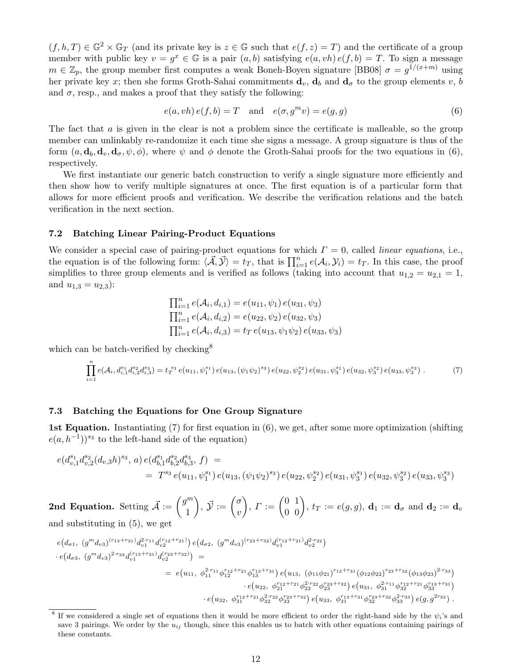$(f, h, T) \in \mathbb{G}^2 \times \mathbb{G}_T$  (and its private key is  $z \in \mathbb{G}$  such that  $e(f, z) = T$ ) and the certificate of a group member with public key  $v = g^x \in \mathbb{G}$  is a pair  $(a, b)$  satisfying  $e(a, vh) e(f, b) = T$ . To sign a message  $m \in \mathbb{Z}_p$ , the group member first computes a weak Boneh-Boyen signature [BB08]  $\sigma = g^{1/(x+m)}$  using her private key x; then she forms Groth-Sahai commitments  $\mathbf{d}_v$ ,  $\mathbf{d}_b$  and  $\mathbf{d}_\sigma$  to the group elements v, b and  $\sigma$ , resp., and makes a proof that they satisfy the following:

$$
e(a, vh) e(f, b) = T \quad \text{and} \quad e(\sigma, g^m v) = e(g, g) \tag{6}
$$

The fact that a is given in the clear is not a problem since the certificate is malleable, so the group member can unlinkably re-randomize it each time she signs a message. A group signature is thus of the form  $(a, \mathbf{d}_b, \mathbf{d}_v, \mathbf{d}_\sigma, \psi, \phi)$ , where  $\psi$  and  $\phi$  denote the Groth-Sahai proofs for the two equations in (6), respectively.

We first instantiate our generic batch construction to verify a single signature more efficiently and then show how to verify multiple signatures at once. The first equation is of a particular form that allows for more efficient proofs and verification. We describe the verification relations and the batch verification in the next section.

#### 7.2 Batching Linear Pairing-Product Equations

We consider a special case of pairing-product equations for which  $\Gamma = 0$ , called *linear equations*, i.e., the equation is of the following form:  $\langle \vec{\mathcal{A}}, \vec{\mathcal{Y}} \rangle = t_T$ , that is  $\prod_{i=1}^n e(\mathcal{A}_i, \mathcal{Y}_i) = t_T$ . In this case, the proof simplifies to three group elements and is verified as follows (taking into account that  $u_{1,2} = u_{2,1} = 1$ , and  $u_{1,3} = u_{2,3}$ :

$$
\prod_{i=1}^{n} e(\mathcal{A}_{i}, d_{i,1}) = e(u_{11}, \psi_{1}) e(u_{31}, \psi_{3})
$$
  
\n
$$
\prod_{i=1}^{n} e(\mathcal{A}_{i}, d_{i,2}) = e(u_{22}, \psi_{2}) e(u_{32}, \psi_{3})
$$
  
\n
$$
\prod_{i=1}^{n} e(\mathcal{A}_{i}, d_{i,3}) = t_{T} e(u_{13}, \psi_{1}\psi_{2}) e(u_{33}, \psi_{3})
$$

which can be batch-verified by checking<sup>8</sup>

$$
\prod_{i=1}^{n} e(\mathcal{A}_{i}, d_{i,1}^{s_{1}} d_{i,2}^{s_{2}} d_{i,3}^{s_{3}}) = t_{T}^{s_{3}} e(u_{11}, \psi_{1}^{s_{1}}) e(u_{13}, (\psi_{1}\psi_{2})^{s_{3}}) e(u_{22}, \psi_{2}^{s_{2}}) e(u_{31}, \psi_{3}^{s_{1}}) e(u_{32}, \psi_{3}^{s_{2}}) e(u_{33}, \psi_{3}^{s_{3}}).
$$
\n(7)

#### 7.3 Batching the Equations for One Group Signature

1st Equation. Instantiating (7) for first equation in (6), we get, after some more optimization (shifting  $e(a, h^{-1})^{s_3}$  to the left-hand side of the equation)

$$
e(d_{v,1}^{s_1}d_{v,2}^{s_2}(d_{v,3}h)^{s_3},a) e(d_{b,1}^{s_1}d_{b,2}^{s_2}d_{b,3}^{s_3},f) =
$$
  
=  $T^{s_3}e(u_{11},\psi_1^{s_1})e(u_{13},(\psi_1\psi_2)^{s_3})e(u_{22},\psi_2^{s_2})e(u_{31},\psi_3^{s_1})e(u_{32},\psi_3^{s_2})e(u_{33},\psi_3^{s_3})$ 

2nd Equation. Setting  $\vec{\mathcal{A}} := \begin{pmatrix} g^m \\ 1 \end{pmatrix}$ 1  $\left( \begin{array}{c} \overrightarrow{v} \end{array} \right)$ ,  $\overrightarrow{y} := \left( \begin{array}{c} \sigma \end{array} \right)$  $\overline{v}$  $\Big),\, \varGamma := \begin{pmatrix} 0 & 1 \ 0 & 0 \end{pmatrix}\!,\, t_{T} := e(g,g),\, \mathbf{d}_1 := \mathbf{d}_{\sigma} \,\,\text{and}\,\, \mathbf{d}_2 := \mathbf{d}_{v}$ and substituting in (5), we get

$$
e(d_{\sigma 1}, (g^m d_{\nu 3})^{(r_{13}+r_{31})} d_{\nu 1}^{2 \cdot r_{11}} d_{\nu 2}^{(r_{12}+r_{21})}) e(d_{\sigma 2}, (g^m d_{\nu 3})^{(r_{23}+r_{32})} d_{\nu 1}^{(r_{12}+r_{21})} d_{\nu 2}^{2 \cdot r_{22}})
$$
  
\n
$$
\cdot e(d_{\sigma 3}, (g^m d_{\nu 3})^{2 \cdot r_{33}} d_{\nu 1}^{(r_{13}+r_{31})} d_{\nu 2}^{(r_{23}+r_{32})}) =
$$
  
\n
$$
= e(u_{11}, \phi_{11}^{2 \cdot r_{11}} \phi_{12}^{r_{12}+r_{21}} \phi_{13}^{r_{13}+r_{31}}) e(u_{13}, (\phi_{11} \phi_{21})^{r_{13}+r_{31}} (\phi_{12} \phi_{22})^{r_{23}+r_{32}} (\phi_{13} \phi_{23})^{2 \cdot r_{33}})
$$
  
\n
$$
\cdot e(u_{22}, \phi_{21}^{r_{12}+r_{21}} \phi_{22}^{2 \cdot r_{22}} \phi_{23}^{r_{23}+r_{32}}) e(u_{31}, \phi_{31}^{2 \cdot r_{11}} \phi_{32}^{r_{12}+r_{21}} \phi_{33}^{r_{13}+r_{31}})
$$
  
\n
$$
\cdot e(u_{32}, \phi_{31}^{r_{12}+r_{21}} \phi_{32}^{2 \cdot r_{22}} \phi_{33}^{r_{33}+r_{32}}) e(u_{33}, \phi_{31}^{r_{13}+r_{31}} \phi_{32}^{r_{23}+r_{32}} \phi_{33}^{2 \cdot r_{33}}) e(g, g^{2r_{33}}).
$$

<sup>&</sup>lt;sup>8</sup> If we considered a single set of equations then it would be more efficient to order the right-hand side by the  $\psi_i$ 's and save 3 pairings. We order by the  $u_{ij}$  though, since this enables us to batch with other equations containing pairings of these constants.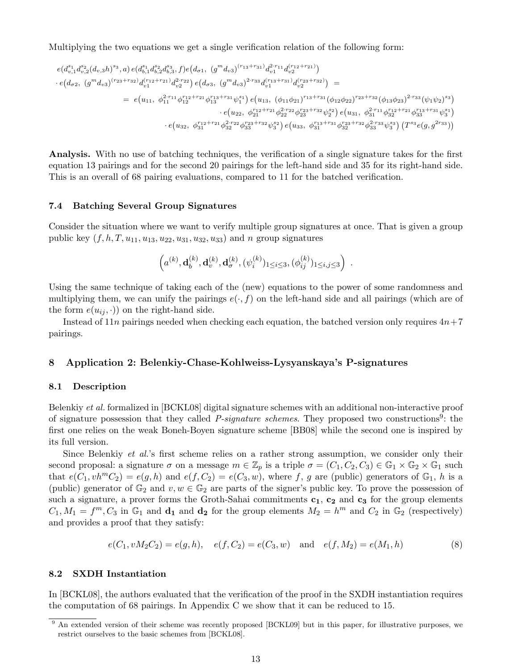Multiplying the two equations we get a single verification relation of the following form:

$$
\begin{aligned} e(d_{v,1}^{s_1}d_{v,2}^{s_2}(d_{v,3}h)^{s_3},a) \, e(d_{b,1}^{s_1}d_{b,2}^{s_2}d_{b,3}^{s_3},f) e(d_{\sigma 1}, \; (g^m d_{v3})^{(r_{13}+r_{31})} d_{v1}^{2 \cdot r_{11}} d_{v2}^{(r_{12}+r_{21})}) \\ \cdot \, e\big(d_{\sigma 2}, \; (g^m d_{v3})^{(r_{23}+r_{32})} d_{v1}^{(r_{12}+r_{21})} d_{v2}^{2 \cdot r_{22}}\big) \, e\big(d_{\sigma 3}, \; (g^m d_{v3})^{2 \cdot r_{33}} d_{v1}^{(r_{13}+r_{31})} d_{v2}^{(r_{23}+r_{32})}\big) \, = \\ \quad & = \, e\big(u_{11}, \; \phi_{11}^{2 \cdot r_{11}} \phi_{12}^{r_{12}+r_{21}} \phi_{13}^{r_{13}+r_{31}} \psi_{1}^{s_1}\big) \, e\big(u_{13}, \; (\phi_{11} \phi_{21})^{r_{13}+r_{31}} (\phi_{12} \phi_{22})^{r_{23}+r_{32}} (\phi_{13} \phi_{23})^{2 \cdot r_{33}} (\psi_{1} \psi_{2})^{s_3}\big) \\ \quad \cdot \, e\big(u_{22}, \; \phi_{11}^{r_{12}+r_{21}} \phi_{22}^{2 \cdot r_{22}} \phi_{23}^{r_{23}+r_{32}} \psi_{2}^{s_2}\big) \, e\big(u_{31}, \; \phi_{31}^{2 \cdot r_{11}} \phi_{32}^{r_{12}+r_{21}} \phi_{33}^{r_{13}+r_{31}} \psi_{3}^{s_1}\big) \\ \quad \cdot \, e\big(u_{32}, \; \phi_{31}^{r_{12}+r_{21}} \phi_{32}^{2 \cdot r_{22}} \phi_{33}^{r_{23}+r_{32}} \psi_{3}^{s_2}\big) \, e\big(u_{33}, \; \phi_{31}^{r_{13}+r_{31}} \phi_{32}^{r_{23}+r_{32}} \
$$

Analysis. With no use of batching techniques, the verification of a single signature takes for the first equation 13 pairings and for the second 20 pairings for the left-hand side and 35 for its right-hand side. This is an overall of 68 pairing evaluations, compared to 11 for the batched verification.

#### 7.4 Batching Several Group Signatures

Consider the situation where we want to verify multiple group signatures at once. That is given a group public key  $(f, h, T, u_{11}, u_{13}, u_{22}, u_{31}, u_{32}, u_{33})$  and n group signatures

$$
\left(a^{(k)}, \mathbf{d}^{(k)}_{b}, \mathbf{d}^{(k)}_{v}, \mathbf{d}^{(k)}_{\sigma}, (\psi_i^{(k)})_{1 \leq i \leq 3}, (\phi_{ij}^{(k)})_{1 \leq i,j \leq 3}\right) \ .
$$

Using the same technique of taking each of the (new) equations to the power of some randomness and multiplying them, we can unify the pairings  $e(\cdot, f)$  on the left-hand side and all pairings (which are of the form  $e(u_{ij}, \cdot)$  on the right-hand side.

Instead of  $11n$  pairings needed when checking each equation, the batched version only requires  $4n+7$ pairings.

# 8 Application 2: Belenkiy-Chase-Kohlweiss-Lysyanskaya's P-signatures

#### 8.1 Description

Belenkiy et al. formalized in [BCKL08] digital signature schemes with an additional non-interactive proof of signature possession that they called *P-signature schemes*. They proposed two constructions<sup>9</sup>: the first one relies on the weak Boneh-Boyen signature scheme [BB08] while the second one is inspired by its full version.

Since Belenkiy *et al.*'s first scheme relies on a rather strong assumption, we consider only their second proposal: a signature  $\sigma$  on a message  $m \in \mathbb{Z}_p$  is a triple  $\sigma = (C_1, C_2, C_3) \in \mathbb{G}_1 \times \mathbb{G}_2 \times \mathbb{G}_1$  such that  $e(C_1, vh^mC_2) = e(g, h)$  and  $e(f, C_2) = e(C_3, w)$ , where f, g are (public) generators of  $\mathbb{G}_1$ , h is a (public) generator of  $\mathbb{G}_2$  and  $v, w \in \mathbb{G}_2$  are parts of the signer's public key. To prove the possession of such a signature, a prover forms the Groth-Sahai commitments  $c_1$ ,  $c_2$  and  $c_3$  for the group elements  $C_1, M_1 = f^m, C_3$  in  $\mathbb{G}_1$  and  $\mathbf{d}_2$  for the group elements  $M_2 = h^m$  and  $C_2$  in  $\mathbb{G}_2$  (respectively) and provides a proof that they satisfy:

$$
e(C_1, vM_2C_2) = e(g, h), \quad e(f, C_2) = e(C_3, w) \quad \text{and} \quad e(f, M_2) = e(M_1, h) \tag{8}
$$

# 8.2 SXDH Instantiation

In [BCKL08], the authors evaluated that the verification of the proof in the SXDH instantiation requires the computation of 68 pairings. In Appendix C we show that it can be reduced to 15.

<sup>&</sup>lt;sup>9</sup> An extended version of their scheme was recently proposed [BCKL09] but in this paper, for illustrative purposes, we restrict ourselves to the basic schemes from [BCKL08].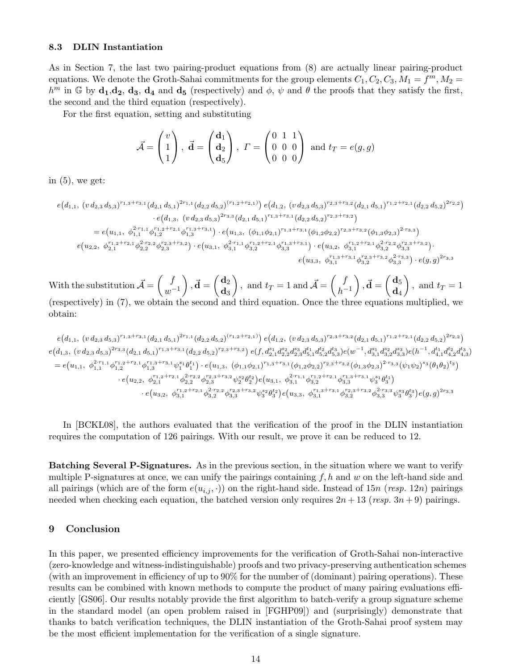# 8.3 DLIN Instantiation

As in Section 7, the last two pairing-product equations from (8) are actually linear pairing-product equations. We denote the Groth-Sahai commitments for the group elements  $C_1, C_2, C_3, M_1 = f^m, M_2 =$  $h^m$  in G by  $\mathbf{d}_1, \mathbf{d}_2, \mathbf{d}_3, \mathbf{d}_4$  and  $\mathbf{d}_5$  (respectively) and  $\phi$ ,  $\psi$  and  $\theta$  the proofs that they satisfy the first, the second and the third equation (respectively).

For the first equation, setting and substituting

$$
\vec{\mathcal{A}} = \begin{pmatrix} v \\ 1 \\ 1 \end{pmatrix}, \ \vec{\mathbf{d}} = \begin{pmatrix} \mathbf{d}_1 \\ \mathbf{d}_2 \\ \mathbf{d}_5 \end{pmatrix}, \ \Gamma = \begin{pmatrix} 0 & 1 & 1 \\ 0 & 0 & 0 \\ 0 & 0 & 0 \end{pmatrix} \text{ and } t_T = e(g, g)
$$

in  $(5)$ , we get:

$$
e(d_{1,1}, (v d_{2,3} d_{5,3})^{r_{1,3}+r_{3,1}}(d_{2,1} d_{5,1})^{2r_{1,1}}(d_{2,2} d_{5,2})^{(r_{1,2}+r_{2,1})}) e(d_{1,2}, (v d_{2,3} d_{5,3})^{r_{2,3}+r_{3,2}}(d_{2,1} d_{5,1})^{r_{1,2}+r_{2,1}}(d_{2,2} d_{5,2})^{2r_{2,2}})\cdot e(d_{1,3}, (v d_{2,3} d_{5,3})^{2r_{3,3}}(d_{2,1} d_{5,1})^{r_{1,3}+r_{3,1}}(d_{2,2} d_{5,2})^{r_{2,3}+r_{3,2}})
$$
\n
$$
= e(u_{1,1}, \phi_{1,1}^{2\cdot r_{1,1}}\phi_{1,2}^{r_{1,2}+r_{2,1}}\phi_{1,3}^{r_{1,3}+r_{3,1}})\cdot e(u_{1,3}, (\phi_{1,1}\phi_{2,1})^{r_{1,3}+r_{3,1}}(\phi_{1,2}\phi_{2,2})^{r_{2,3}+r_{3,2}}(\phi_{1,3}\phi_{2,3})^{2\cdot r_{3,3}})
$$
\n
$$
e(u_{2,2}, \phi_{2,1}^{r_{1,2}+r_{2,1}}\phi_{2,2}^{2\cdot r_{2,2}}\phi_{2,3}^{r_{2,3}+r_{3,2}})\cdot e(u_{3,1}, \phi_{3,1}^{2\cdot r_{1,1}}\phi_{3,2}^{r_{1,2}+r_{2,1}}\phi_{3,3}^{r_{1,3}+r_{3,1}})\cdot e(u_{3,2}, \phi_{3,1}^{r_{1,1}+r_{2,1}}\phi_{3,2}^{2\cdot r_{2,3}}\phi_{3,3}^{2\cdot r_{3,3}})\cdot e(g,g)^{2r_{3,3}}
$$
\n
$$
e(u_{3,3}, \phi_{3,1}^{r_{1,3}+r_{3,1}}\phi_{3,2}^{r_{2,3}+r_{3,2}}\phi_{3,3}^{2\cdot r_{3,3}})\cdot e(g,g)^{2r_{3,3}}
$$

With the substitution  $\vec{\mathcal{A}} = \begin{pmatrix} f \\ f \end{pmatrix}$  $w^{-1}$  $\Big), \vec{\mathbf{d}} = \left( \begin{array}{c} \mathbf{d}_2 \ \mathbf{d}_1 \end{array} \right)$  $\mathbf{d}_3$ ), and  $t_T = 1$  and  $\vec{\mathcal{A}} = \begin{pmatrix} f \\ h_T \end{pmatrix}$  $h^{-1}$  $\Big), \vec{\mathbf{d}} = \left( \begin{array}{c} \mathbf{d}_5 \ \mathbf{d}_6 \end{array} \right)$  $\mathbf{d}_4$ ), and  $t_T = 1$ (respectively) in (7), we obtain the second and third equation. Once the three equations multiplied, we obtain:

$$
e(d_{1,1}, (v d_{2,3} d_{5,3})^{r_{1,3}+r_{3,1}}(d_{2,1} d_{5,1})^{2r_{1,1}}(d_{2,2} d_{5,2})^{(r_{1,2}+r_{2,1})})e(d_{1,2}, (v d_{2,3} d_{5,3})^{r_{2,3}+r_{3,2}}(d_{2,1} d_{5,1})^{r_{1,2}+r_{2,1}}(d_{2,2} d_{5,2})^{2r_{2,2}})\ne(d_{1,3}, (v d_{2,3} d_{5,3})^{2r_{3,3}}(d_{2,1} d_{5,1})^{r_{1,3}+r_{3,1}}(d_{2,2} d_{5,2})^{r_{2,3}+r_{3,2}})e(f,d_{2,1}^{s_1}d_{2,2}^{s_2}d_{2,3}^{s_3}d_{5,1}^{t_1}d_{5,2}^{t_2}d_{5,3}^{t_3})e(w^{-1},d_{3,1}^{s_1}d_{3,2}^{s_2}d_{3,3}^{s_3})e(h^{-1},d_{4,1}^{t_1}d_{4,2}^{t_2}d_{4,3}^{t_3})\n= e(u_{1,1}, \phi_{1,1}^{2r_{1,1}}\phi_{1,2}^{r_{1,2}+r_{2,1}}\phi_{1,3}^{r_{1,3}+r_{3,1}}\psi_{1}^{s_1}\theta_{1}^{t_1}) \cdot e(u_{1,3}, (\phi_{1,1}\phi_{2,1})^{r_{1,3}+r_{3,1}}(\phi_{1,2}\phi_{2,2})^{r_{2,3}+r_{3,2}}(\phi_{1,3}\phi_{2,3})^{2r_{3,3}}(\psi_{1}\psi_{2})^{s_3}(\theta_{1}\theta_{2})^{t_3})\n\cdot e(u_{2,2}, \phi_{2,1}^{r_{1,2}+r_{2,1}}\phi_{2,2}^{2r_{2,2}}\phi_{2,3}^{r_{2,3}+r_{3,2}}\psi_{2}^{s_2}\theta_{2}^{t_2})e(u_{3,1}, \phi_{3,1}^{2r_{1,1}}\phi_{3,2}^{r_{1,2}+r_{2,1}}\phi_{3,3}^{r_{1,3}+r_{3,1}}\psi_{3}^{s
$$

In [BCKL08], the authors evaluated that the verification of the proof in the DLIN instantiation requires the computation of 126 pairings. With our result, we prove it can be reduced to 12.

Batching Several P-Signatures. As in the previous section, in the situation where we want to verify multiple P-signatures at once, we can unify the pairings containing  $f, h$  and w on the left-hand side and all pairings (which are of the form  $e(u_{i,j}, \cdot)$ ) on the right-hand side. Instead of  $15n$  (resp. 12n) pairings needed when checking each equation, the batched version only requires  $2n + 13$  (resp.  $3n + 9$ ) pairings.

# 9 Conclusion

In this paper, we presented efficiency improvements for the verification of Groth-Sahai non-interactive (zero-knowledge and witness-indistinguishable) proofs and two privacy-preserving authentication schemes (with an improvement in efficiency of up to 90% for the number of (dominant) pairing operations). These results can be combined with known methods to compute the product of many pairing evaluations efficiently [GS06]. Our results notably provide the first algorithm to batch-verify a group signature scheme in the standard model (an open problem raised in [FGHP09]) and (surprisingly) demonstrate that thanks to batch verification techniques, the DLIN instantiation of the Groth-Sahai proof system may be the most efficient implementation for the verification of a single signature.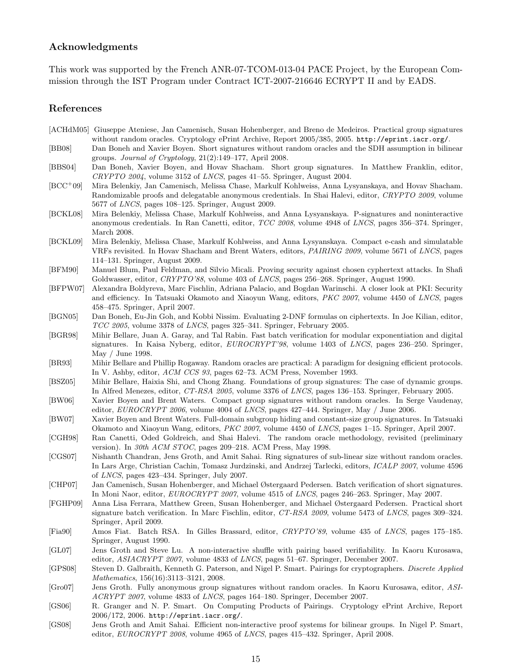# Acknowledgments

This work was supported by the French ANR-07-TCOM-013-04 PACE Project, by the European Commission through the IST Program under Contract ICT-2007-216646 ECRYPT II and by EADS.

# References

- [ACHdM05] Giuseppe Ateniese, Jan Camenisch, Susan Hohenberger, and Breno de Medeiros. Practical group signatures without random oracles. Cryptology ePrint Archive, Report 2005/385, 2005. http://eprint.iacr.org/.
- [BB08] Dan Boneh and Xavier Boyen. Short signatures without random oracles and the SDH assumption in bilinear groups. Journal of Cryptology, 21(2):149–177, April 2008.
- [BBS04] Dan Boneh, Xavier Boyen, and Hovav Shacham. Short group signatures. In Matthew Franklin, editor, CRYPTO 2004, volume 3152 of LNCS, pages 41–55. Springer, August 2004.
- [BCC<sup>+</sup>09] Mira Belenkiy, Jan Camenisch, Melissa Chase, Markulf Kohlweiss, Anna Lysyanskaya, and Hovav Shacham. Randomizable proofs and delegatable anonymous credentials. In Shai Halevi, editor, CRYPTO 2009, volume 5677 of LNCS, pages 108–125. Springer, August 2009.
- [BCKL08] Mira Belenkiy, Melissa Chase, Markulf Kohlweiss, and Anna Lysyanskaya. P-signatures and noninteractive anonymous credentials. In Ran Canetti, editor, TCC 2008, volume 4948 of LNCS, pages 356–374. Springer, March 2008.
- [BCKL09] Mira Belenkiy, Melissa Chase, Markulf Kohlweiss, and Anna Lysyanskaya. Compact e-cash and simulatable VRFs revisited. In Hovav Shacham and Brent Waters, editors, PAIRING 2009, volume 5671 of LNCS, pages 114–131. Springer, August 2009.
- [BFM90] Manuel Blum, Paul Feldman, and Silvio Micali. Proving security against chosen cyphertext attacks. In Shafi Goldwasser, editor, CRYPTO'88, volume 403 of LNCS, pages 256–268. Springer, August 1990.
- [BFPW07] Alexandra Boldyreva, Marc Fischlin, Adriana Palacio, and Bogdan Warinschi. A closer look at PKI: Security and efficiency. In Tatsuaki Okamoto and Xiaoyun Wang, editors, PKC 2007, volume 4450 of LNCS, pages 458–475. Springer, April 2007.
- [BGN05] Dan Boneh, Eu-Jin Goh, and Kobbi Nissim. Evaluating 2-DNF formulas on ciphertexts. In Joe Kilian, editor, TCC 2005, volume 3378 of LNCS, pages 325–341. Springer, February 2005.
- [BGR98] Mihir Bellare, Juan A. Garay, and Tal Rabin. Fast batch verification for modular exponentiation and digital signatures. In Kaisa Nyberg, editor, EUROCRYPT'98, volume 1403 of LNCS, pages 236–250. Springer, May / June 1998.
- [BR93] Mihir Bellare and Phillip Rogaway. Random oracles are practical: A paradigm for designing efficient protocols. In V. Ashby, editor, ACM CCS 93, pages 62–73. ACM Press, November 1993.
- [BSZ05] Mihir Bellare, Haixia Shi, and Chong Zhang. Foundations of group signatures: The case of dynamic groups. In Alfred Menezes, editor, CT-RSA 2005, volume 3376 of LNCS, pages 136–153. Springer, February 2005.
- [BW06] Xavier Boyen and Brent Waters. Compact group signatures without random oracles. In Serge Vaudenay, editor, EUROCRYPT 2006, volume 4004 of LNCS, pages  $427-444$ . Springer, May / June 2006.
- [BW07] Xavier Boyen and Brent Waters. Full-domain subgroup hiding and constant-size group signatures. In Tatsuaki Okamoto and Xiaoyun Wang, editors, PKC 2007, volume 4450 of LNCS, pages 1–15. Springer, April 2007.
- [CGH98] Ran Canetti, Oded Goldreich, and Shai Halevi. The random oracle methodology, revisited (preliminary version). In 30th ACM STOC, pages 209–218. ACM Press, May 1998.
- [CGS07] Nishanth Chandran, Jens Groth, and Amit Sahai. Ring signatures of sub-linear size without random oracles. In Lars Arge, Christian Cachin, Tomasz Jurdzinski, and Andrzej Tarlecki, editors, ICALP 2007, volume 4596 of LNCS, pages 423–434. Springer, July 2007.
- [CHP07] Jan Camenisch, Susan Hohenberger, and Michael Østergaard Pedersen. Batch verification of short signatures. In Moni Naor, editor, EUROCRYPT 2007, volume 4515 of LNCS, pages 246–263. Springer, May 2007.
- [FGHP09] Anna Lisa Ferrara, Matthew Green, Susan Hohenberger, and Michael Østergaard Pedersen. Practical short signature batch verification. In Marc Fischlin, editor, CT-RSA 2009, volume 5473 of LNCS, pages 309–324. Springer, April 2009.
- [Fia90] Amos Fiat. Batch RSA. In Gilles Brassard, editor, CRYPTO'89, volume 435 of LNCS, pages 175–185. Springer, August 1990.
- [GL07] Jens Groth and Steve Lu. A non-interactive shuffle with pairing based verifiability. In Kaoru Kurosawa, editor, ASIACRYPT 2007, volume 4833 of LNCS, pages 51–67. Springer, December 2007.
- [GPS08] Steven D. Galbraith, Kenneth G. Paterson, and Nigel P. Smart. Pairings for cryptographers. Discrete Applied Mathematics, 156(16):3113–3121, 2008.
- [Gro07] Jens Groth. Fully anonymous group signatures without random oracles. In Kaoru Kurosawa, editor, ASI-ACRYPT 2007, volume 4833 of LNCS, pages 164–180. Springer, December 2007.
- [GS06] R. Granger and N. P. Smart. On Computing Products of Pairings. Cryptology ePrint Archive, Report 2006/172, 2006. http://eprint.iacr.org/.
- [GS08] Jens Groth and Amit Sahai. Efficient non-interactive proof systems for bilinear groups. In Nigel P. Smart, editor, EUROCRYPT 2008, volume 4965 of LNCS, pages 415–432. Springer, April 2008.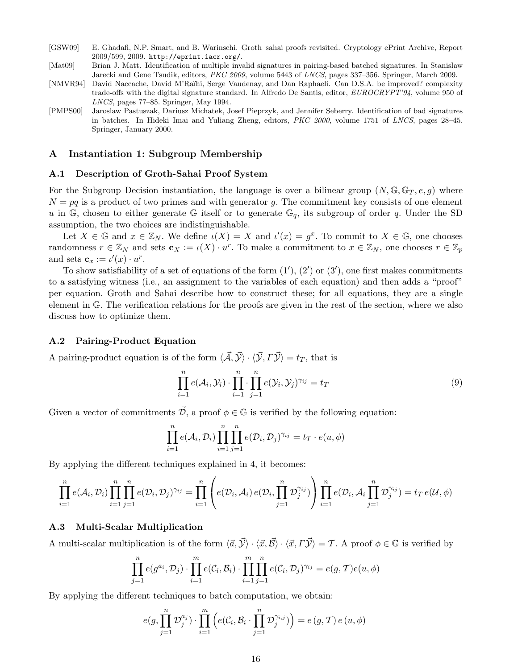- [GSW09] E. Ghadafi, N.P. Smart, and B. Warinschi. Groth–sahai proofs revisited. Cryptology ePrint Archive, Report 2009/599, 2009. http://eprint.iacr.org/.
- [Mat09] Brian J. Matt. Identification of multiple invalid signatures in pairing-based batched signatures. In Stanislaw Jarecki and Gene Tsudik, editors, PKC 2009, volume 5443 of LNCS, pages 337–356. Springer, March 2009.
- [NMVR94] David Naccache, David M'Raïhi, Serge Vaudenay, and Dan Raphaeli. Can D.S.A. be improved? complexity trade-offs with the digital signature standard. In Alfredo De Santis, editor, EUROCRYPT'94, volume 950 of LNCS, pages 77–85. Springer, May 1994.
- [PMPS00] Jaroslaw Pastuszak, Dariusz Michatek, Josef Pieprzyk, and Jennifer Seberry. Identification of bad signatures in batches. In Hideki Imai and Yuliang Zheng, editors, PKC 2000, volume 1751 of LNCS, pages 28–45. Springer, January 2000.

# A Instantiation 1: Subgroup Membership

#### A.1 Description of Groth-Sahai Proof System

For the Subgroup Decision instantiation, the language is over a bilinear group  $(N, \mathbb{G}, \mathbb{G}_T, e, g)$  where  $N = pq$  is a product of two primes and with generator q. The commitment key consists of one element u in G, chosen to either generate G itself or to generate  $\mathbb{G}_q$ , its subgroup of order q. Under the SD assumption, the two choices are indistinguishable.

Let  $X \in \mathbb{G}$  and  $x \in \mathbb{Z}_N$ . We define  $\iota(X) = X$  and  $\iota'(x) = g^x$ . To commit to  $X \in \mathbb{G}$ , one chooses randomness  $r \in \mathbb{Z}_N$  and sets  $\mathbf{c}_X := \iota(X) \cdot u^r$ . To make a commitment to  $x \in \mathbb{Z}_N$ , one chooses  $r \in \mathbb{Z}_p$ and sets  $\mathbf{c}_x := \iota'(x) \cdot u^r$ .

To show satisfiability of a set of equations of the form  $(1')$ ,  $(2')$  or  $(3')$ , one first makes commitments to a satisfying witness (i.e., an assignment to the variables of each equation) and then adds a "proof" per equation. Groth and Sahai describe how to construct these; for all equations, they are a single element in G. The verification relations for the proofs are given in the rest of the section, where we also discuss how to optimize them.

#### A.2 Pairing-Product Equation

A pairing-product equation is of the form  $\langle \vec{A}, \vec{Y} \rangle \cdot \langle \vec{Y}, \vec{Y} \rangle = t_T$ , that is

$$
\prod_{i=1}^{n} e(\mathcal{A}_i, \mathcal{Y}_i) \cdot \prod_{i=1}^{n} \cdot \prod_{j=1}^{n} e(\mathcal{Y}_i, \mathcal{Y}_j)^{\gamma_{ij}} = t_T
$$
\n(9)

Given a vector of commitments  $\mathcal{\bar{D}}$ , a proof  $\phi \in \mathbb{G}$  is verified by the following equation:

$$
\prod_{i=1}^n e(\mathcal{A}_i, \mathcal{D}_i) \prod_{i=1}^n \prod_{j=1}^n e(\mathcal{D}_i, \mathcal{D}_j)^{\gamma_{ij}} = t_T \cdot e(u, \phi)
$$

By applying the different techniques explained in 4, it becomes:

$$
\prod_{i=1}^n e(\mathcal{A}_i, \mathcal{D}_i) \prod_{i=1}^n \prod_{j=1}^n e(\mathcal{D}_i, \mathcal{D}_j)^{\gamma_{ij}} = \prod_{i=1}^n \left( e(\mathcal{D}_i, \mathcal{A}_i) e(\mathcal{D}_i, \prod_{j=1}^n \mathcal{D}_j^{\gamma_{ij}}) \right) \prod_{i=1}^n e(\mathcal{D}_i, \mathcal{A}_i \prod_{j=1}^n \mathcal{D}_j^{\gamma_{ij}}) = t_T e(\mathcal{U}, \phi)
$$

# A.3 Multi-Scalar Multiplication

A multi-scalar multiplication is of the form  $\langle \vec{a}, \vec{y} \rangle \cdot \langle \vec{x}, \vec{B} \rangle \cdot \langle \vec{x}, \vec{\Delta y} \rangle = \mathcal{T}$ . A proof  $\phi \in \mathbb{G}$  is verified by

$$
\prod_{j=1}^n e(g^{a_i}, \mathcal{D}_j) \cdot \prod_{i=1}^m e(\mathcal{C}_i, \mathcal{B}_i) \cdot \prod_{i=1}^m \prod_{j=1}^n e(\mathcal{C}_i, \mathcal{D}_j)^{\gamma_{ij}} = e(g, \mathcal{T})e(u, \phi)
$$

By applying the different techniques to batch computation, we obtain:

$$
e(g,\prod_{j=1}^n \mathcal{D}_j^{a_j}) \cdot \prod_{i=1}^m \left(e(\mathcal{C}_i,\mathcal{B}_i\cdot \prod_{j=1}^n \mathcal{D}_j^{\gamma_{i,j}})\right) = e(g,\mathcal{T})\,e(u,\phi)
$$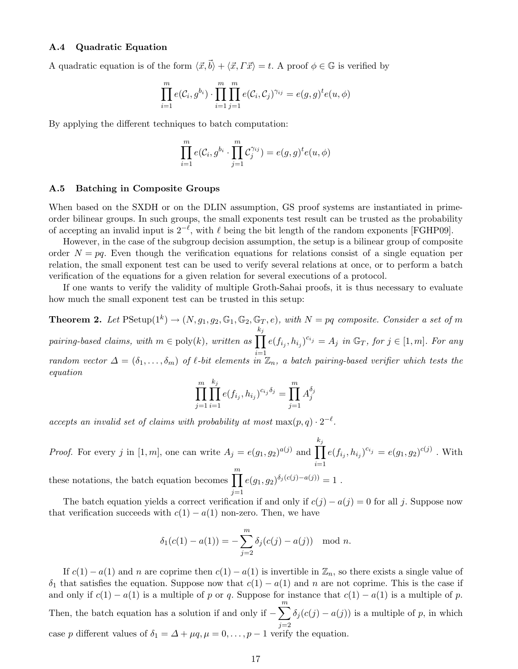# A.4 Quadratic Equation

A quadratic equation is of the form  $\langle \vec{x}, \vec{b} \rangle + \langle \vec{x}, \vec{T} \vec{x} \rangle = t$ . A proof  $\phi \in \mathbb{G}$  is verified by

$$
\prod_{i=1}^{m} e(C_i, g^{b_i}) \cdot \prod_{i=1}^{m} \prod_{j=1}^{m} e(C_i, C_j)^{\gamma_{ij}} = e(g, g)^{t} e(u, \phi)
$$

By applying the different techniques to batch computation:

$$
\prod_{i=1}^m e(\mathcal{C}_i, g^{b_i} \cdot \prod_{j=1}^m \mathcal{C}_j^{\gamma_{ij}}) = e(g, g)^t e(u, \phi)
$$

#### A.5 Batching in Composite Groups

When based on the SXDH or on the DLIN assumption, GS proof systems are instantiated in primeorder bilinear groups. In such groups, the small exponents test result can be trusted as the probability of accepting an invalid input is  $2^{-\ell}$ , with  $\ell$  being the bit length of the random exponents [FGHP09].

However, in the case of the subgroup decision assumption, the setup is a bilinear group of composite order  $N = pq$ . Even though the verification equations for relations consist of a single equation per relation, the small exponent test can be used to verify several relations at once, or to perform a batch verification of the equations for a given relation for several executions of a protocol.

If one wants to verify the validity of multiple Groth-Sahai proofs, it is thus necessary to evaluate how much the small exponent test can be trusted in this setup:

**Theorem 2.** Let  $P\text{Setup}(1^k) \rightarrow (N, g_1, g_2, \mathbb{G}_1, \mathbb{G}_2, \mathbb{G}_T, e)$ , with  $N = pq$  composite. Consider a set of m pairing-based claims, with  $m \in \text{poly}(k)$ , written as  $\prod$  $k_j$ random vector  $\Delta = (\delta_1, \ldots, \delta_m)$  of  $\ell$ -bit elements in  $\mathbb{Z}_n$ , a batch pairing-based verifier which tests the  $e(f_{i_j}, h_{i_j})^{c_{i_j}} = A_j$  in  $\mathbb{G}_T$ , for  $j \in [1, m]$ . For any equation

$$
\prod_{j=1}^{m} \prod_{i=1}^{k_j} e(f_{i_j}, h_{i_j})^{c_{i_j}\delta_j} = \prod_{j=1}^{m} A_j^{\delta_j}
$$

accepts an invalid set of claims with probability at most  $\max(p,q) \cdot 2^{-\ell}$ .

*Proof.* For every j in [1, m], one can write  $A_j = e(g_1, g_2)^{a(j)}$  and  $\prod$  $k_j$ these notations, the batch equation becomes  $\prod_{i=1}^{m} e(g_1, g_2)^{\delta_j(c(j) - a(j))} =$  $e(f_{i_j}, h_{i_j})^{c_{i_j}} = e(g_1, g_2)^{c(j)}$  . With  $j=1$  $e(g_1, g_2)^{\delta_j(c(j)-a(j))} = 1$ .

The batch equation yields a correct verification if and only if  $c(j) - a(j) = 0$  for all j. Suppose now that verification succeeds with  $c(1) - a(1)$  non-zero. Then, we have

$$
\delta_1(c(1) - a(1)) = -\sum_{j=2}^m \delta_j(c(j) - a(j)) \mod n.
$$

If  $c(1) - a(1)$  and n are coprime then  $c(1) - a(1)$  is invertible in  $\mathbb{Z}_n$ , so there exists a single value of  $\delta_1$  that satisfies the equation. Suppose now that  $c(1) - a(1)$  and n are not coprime. This is the case if and only if  $c(1) - a(1)$  is a multiple of p or q. Suppose for instance that  $c(1) - a(1)$  is a multiple of p. Then, the batch equation has a solution if and only if  $-\sum_{n=1}^{m}$  $j=2$  $\delta_j(c(j) - a(j))$  is a multiple of p, in which case p different values of  $\delta_1 = \Delta + \mu q, \mu = 0, \ldots, p-1$  verify the equation.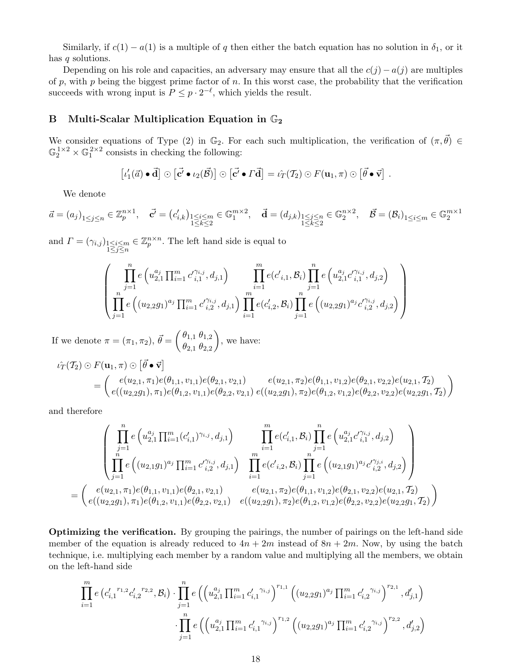Similarly, if  $c(1) - a(1)$  is a multiple of q then either the batch equation has no solution in  $\delta_1$ , or it has q solutions.

Depending on his role and capacities, an adversary may ensure that all the  $c(j) - a(j)$  are multiples of p, with p being the biggest prime factor of n. In this worst case, the probability that the verification succeeds with wrong input is  $P \leq p \cdot 2^{-\ell}$ , which yields the result.

# B Multi-Scalar Multiplication Equation in  $\mathbb{G}_2$

We consider equations of Type (2) in  $\mathbb{G}_2$ . For each such multiplication, the verification of  $(\pi, \vec{\theta}) \in$  $\mathbb{G}_2^{1\times 2}\times \mathbb{G}_1^{2\times 2}$  consists in checking the following:

$$
[\iota'_1(\vec{a}) \bullet \vec{d}] \odot [\vec{c'} \bullet \iota_2(\vec{\mathcal{B}})] \odot [\vec{c'} \bullet \vec{\mathcal{T}} \vec{d}] = \iota_T(\mathcal{T}_2) \odot F(\mathbf{u}_1, \pi) \odot [\vec{\theta} \bullet \vec{v}].
$$

We denote

$$
\vec{a}=(a_j)_{1\leq j\leq n}\in\mathbb{Z}_p^{n\times 1},\quad \vec{\mathbf{c}'}=\left(c'_{i,k}\right)_{\substack{1\leq i\leq m\\ 1\leq k\leq 2}}\in\mathbb{G}_1^{m\times 2},\quad \vec{\mathbf{d}}=(d_{j,k})_{\substack{1\leq j\leq n\\ 1\leq k\leq 2}}\in\mathbb{G}_2^{n\times 2},\quad \vec{\mathcal{B}}=(\mathcal{B}_i)_{1\leq i\leq m}\in\mathbb{G}_2^{m\times 1}
$$

and  $\Gamma = (\gamma_{i,j})_{\substack{1 \leq i \leq m \\ 1 \leq j \leq n}}$  $\in \mathbb{Z}_p^{n \times n}$ . The left hand side is equal to

$$
\left(\prod_{\substack{j=1 \ j\neq i}}^{n} e\left(u_{2,1}^{a_j} \prod_{i=1}^{m} c'_{i,1}^{\gamma_{i,j}}, d_{j,1}\right) \prod_{\substack{i=1 \ i\neq j}}^{m} e(c'_{i,1}, \mathcal{B}_i) \prod_{j=1}^{n} e\left(u_{2,1}^{a_j} c'_{i,1}^{\gamma_{i,j}}, d_{j,2}\right) \prod_{j=1}^{n} e\left(u_{2,2}^{a_j} c'_{i,1}^{\gamma_{i,j}}, d_{j,2}\right) \right)
$$

If we denote  $\pi = (\pi_1, \pi_2), \vec{\theta} = \begin{pmatrix} \theta_{1,1} & \theta_{1,2} \\ \theta_{2,1} & \theta_{2,2} \end{pmatrix}$  $\theta_{2,1}$   $\theta_{2,2}$  $\Big)$ , we have:

$$
\hat{u}_T(T_2) \odot F(\mathbf{u}_1, \pi) \odot [\vec{\theta} \bullet \vec{\mathbf{v}}]
$$
\n
$$
= \begin{pmatrix} e(u_{2,1}, \pi_1) e(\theta_{1,1}, v_{1,1}) e(\theta_{2,1}, v_{2,1}) & e(u_{2,1}, \pi_2) e(\theta_{1,1}, v_{1,2}) e(\theta_{2,1}, v_{2,2}) e(u_{2,1}, T_2) \\ e((u_{2,2}g_1), \pi_1) e(\theta_{1,2}, v_{1,1}) e(\theta_{2,2}, v_{2,1}) & e((u_{2,2}g_1), \pi_2) e(\theta_{1,2}, v_{1,2}) e(\theta_{2,2}, v_{2,2}) e(u_{2,2}g_1, T_2) \end{pmatrix}
$$

and therefore

$$
\left(\prod_{\substack{j=1 \ j=1}}^{n} e\left(u_{2,1}^{a_j} \prod_{i=1}^{m} (c'_{i,1})^{\gamma_{i,j}}, d_{j,1}\right) \prod_{\substack{i=1 \ i=1}}^{m} e(c'_{i,1}, \mathcal{B}_i) \prod_{j=1}^{n} e\left(u_{2,1}^{a_j} c'^{\gamma_{i,j}}_{i,1}, d_{j,2}\right) \right) \n= \left(\begin{array}{c} e(u_{2,1}, \pi_1) e(\theta_{1,1}, v_{1,1}) e(\theta_{2,1}, v_{2,1}) & e(u_{2,1}, \pi_2) e(\theta_{1,1}, v_{1,2}) e(\theta_{2,1}, v_{2,2}) e(u_{2,1}, \pi_2) \end{array}\right) \n= \left(\begin{array}{c} e(u_{2,1}, \pi_1) e(\theta_{1,1}, v_{1,1}) e(\theta_{2,1}, v_{2,1}) & e(u_{2,1}, \pi_2) e(\theta_{1,1}, v_{1,2}) e(\theta_{2,1}, v_{2,2}) e(u_{2,1}, \pi_2) \end{array}\right) \n= \left(\begin{array}{c} e(u_{2,2}, \pi_1) e(\theta_{1,2}, v_{1,1}) e(\theta_{2,2}, v_{2,1}) & e(u_{2,2}, \pi_1) e(\theta_{1,2}, v_{1,2}) e(\theta_{2,2}, v_{2,2}) e(u_{2,2}, \pi_1) \end{array}\right)
$$

Optimizing the verification. By grouping the pairings, the number of pairings on the left-hand side member of the equation is already reduced to  $4n + 2m$  instead of  $8n + 2m$ . Now, by using the batch technique, i.e. multiplying each member by a random value and multiplying all the members, we obtain on the left-hand side

$$
\prod_{i=1}^{m} e\left(c'_{i,1}^{r_{1,2}} c'_{i,2}^{r_{2,2}}, \mathcal{B}_{i}\right) \cdot \prod_{j=1}^{n} e\left(\left(u_{2,1}^{a_{j}} \prod_{i=1}^{m} c'_{i,1}^{r_{i,j}}\right)^{r_{1,1}} \left((u_{2,2}g_{1})^{a_{j}} \prod_{i=1}^{m} c'_{i,2}^{r_{i,j}}\right)^{r_{2,1}}, d'_{j,1}\right) \cdot \prod_{j=1}^{n} e\left(\left(u_{2,1}^{a_{j}} \prod_{i=1}^{m} c'_{i,1}^{r_{i,j}}\right)^{r_{1,2}} \left((u_{2,2}g_{1})^{a_{j}} \prod_{i=1}^{m} c'_{i,2}^{r_{i,j}}\right)^{r_{2,2}}, d'_{j,2}\right)
$$